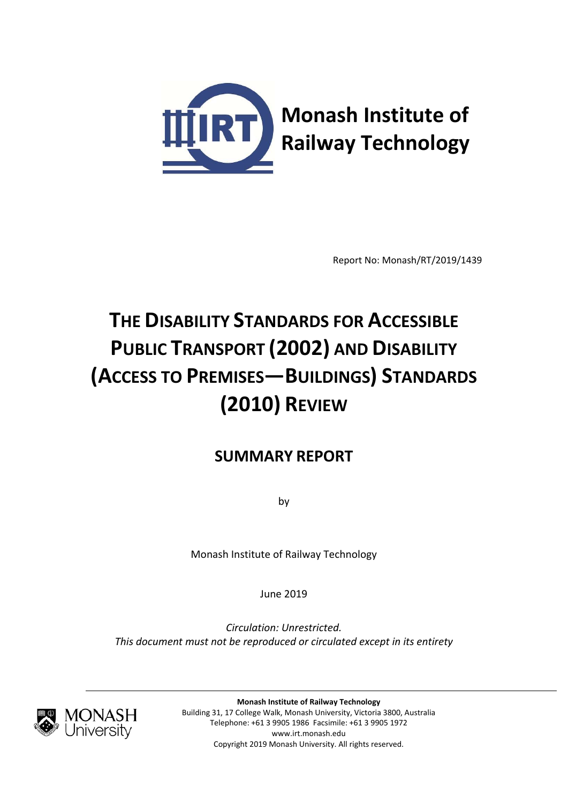

Report No: Monash/RT/2019/1439

# **THE DISABILITY STANDARDS FOR ACCESSIBLE PUBLIC TRANSPORT (2002) AND DISABILITY (ACCESS TO PREMISES—BUILDINGS) STANDARDS (2010) REVIEW**

# **SUMMARY REPORT**

by

Monash Institute of Railway Technology

June 2019

*Circulation: Unrestricted. This document must not be reproduced or circulated except in its entirety* 



**Monash Institute of Railway Technology**  Building 31, 17 College Walk, Monash University, Victoria 3800, Australia Telephone: +61 3 9905 1986 Facsimile: +61 3 9905 1972 www.irt.monash.edu Copyright 2019 Monash University. All rights reserved.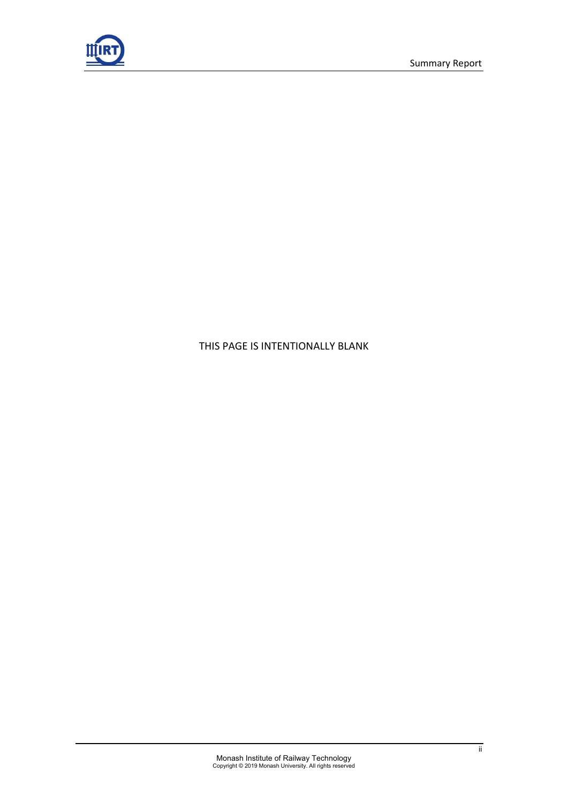

## THIS PAGE IS INTENTIONALLY BLANK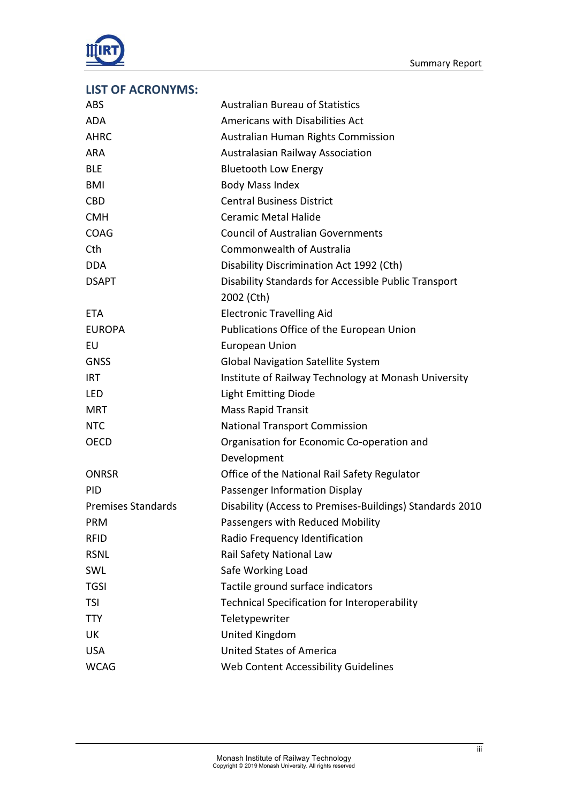

## **LIST OF ACRONYMS:**

| <b>ABS</b>                | <b>Australian Bureau of Statistics</b>                   |
|---------------------------|----------------------------------------------------------|
| <b>ADA</b>                | Americans with Disabilities Act                          |
| <b>AHRC</b>               | Australian Human Rights Commission                       |
| <b>ARA</b>                | Australasian Railway Association                         |
| <b>BLE</b>                | <b>Bluetooth Low Energy</b>                              |
| BMI                       | <b>Body Mass Index</b>                                   |
| <b>CBD</b>                | <b>Central Business District</b>                         |
| <b>CMH</b>                | <b>Ceramic Metal Halide</b>                              |
| COAG                      | <b>Council of Australian Governments</b>                 |
| Cth                       | Commonwealth of Australia                                |
| <b>DDA</b>                | Disability Discrimination Act 1992 (Cth)                 |
| <b>DSAPT</b>              | Disability Standards for Accessible Public Transport     |
|                           | 2002 (Cth)                                               |
| <b>ETA</b>                | <b>Electronic Travelling Aid</b>                         |
| <b>EUROPA</b>             | Publications Office of the European Union                |
| EU                        | <b>European Union</b>                                    |
| <b>GNSS</b>               | <b>Global Navigation Satellite System</b>                |
| <b>IRT</b>                | Institute of Railway Technology at Monash University     |
| <b>LED</b>                | <b>Light Emitting Diode</b>                              |
| <b>MRT</b>                | <b>Mass Rapid Transit</b>                                |
| <b>NTC</b>                | <b>National Transport Commission</b>                     |
| <b>OECD</b>               | Organisation for Economic Co-operation and               |
|                           | Development                                              |
| <b>ONRSR</b>              | Office of the National Rail Safety Regulator             |
| <b>PID</b>                | Passenger Information Display                            |
| <b>Premises Standards</b> | Disability (Access to Premises-Buildings) Standards 2010 |
| <b>PRM</b>                | Passengers with Reduced Mobility                         |
| <b>RFID</b>               | Radio Frequency Identification                           |
| <b>RSNL</b>               | Rail Safety National Law                                 |
| SWL                       | Safe Working Load                                        |
| <b>TGSI</b>               | Tactile ground surface indicators                        |
| <b>TSI</b>                | <b>Technical Specification for Interoperability</b>      |
| <b>TTY</b>                | Teletypewriter                                           |
| UK                        | United Kingdom                                           |
| <b>USA</b>                | <b>United States of America</b>                          |
| <b>WCAG</b>               | Web Content Accessibility Guidelines                     |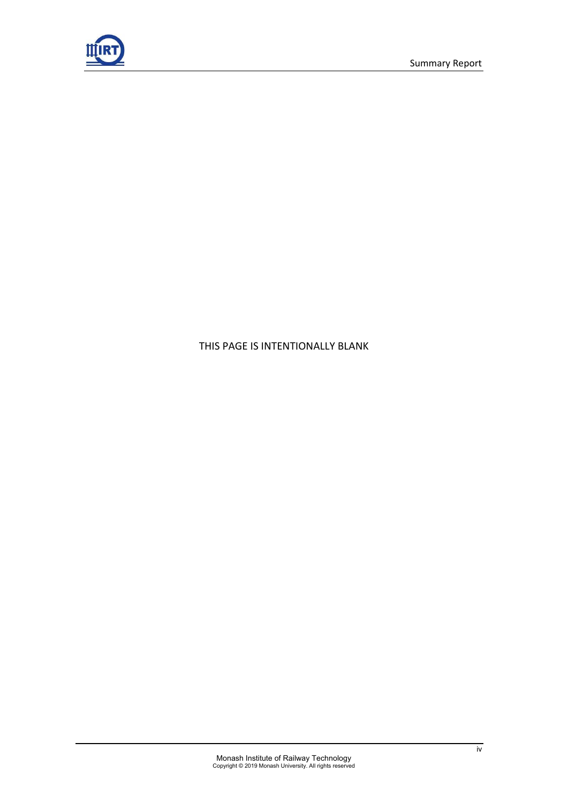

## THIS PAGE IS INTENTIONALLY BLANK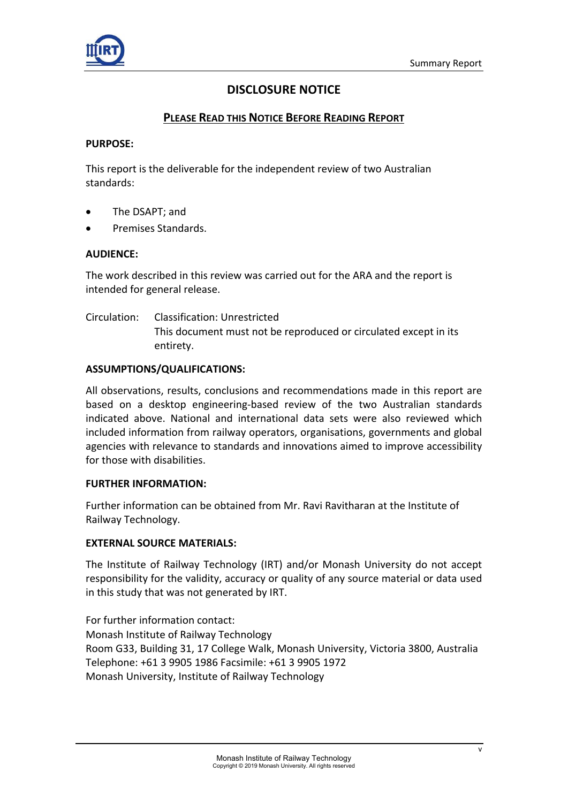

## **DISCLOSURE NOTICE**

## **PLEASE READ THIS NOTICE BEFORE READING REPORT**

#### **PURPOSE:**

This report is the deliverable for the independent review of two Australian standards:

- The DSAPT; and
- Premises Standards.

#### **AUDIENCE:**

The work described in this review was carried out for the ARA and the report is intended for general release.

Circulation: Classification: Unrestricted This document must not be reproduced or circulated except in its entirety.

#### **ASSUMPTIONS/QUALIFICATIONS:**

All observations, results, conclusions and recommendations made in this report are based on a desktop engineering‐based review of the two Australian standards indicated above. National and international data sets were also reviewed which included information from railway operators, organisations, governments and global agencies with relevance to standards and innovations aimed to improve accessibility for those with disabilities.

#### **FURTHER INFORMATION:**

Further information can be obtained from Mr. Ravi Ravitharan at the Institute of Railway Technology.

#### **EXTERNAL SOURCE MATERIALS:**

The Institute of Railway Technology (IRT) and/or Monash University do not accept responsibility for the validity, accuracy or quality of any source material or data used in this study that was not generated by IRT.

For further information contact: Monash Institute of Railway Technology Room G33, Building 31, 17 College Walk, Monash University, Victoria 3800, Australia Telephone: +61 3 9905 1986 Facsimile: +61 3 9905 1972 Monash University, Institute of Railway Technology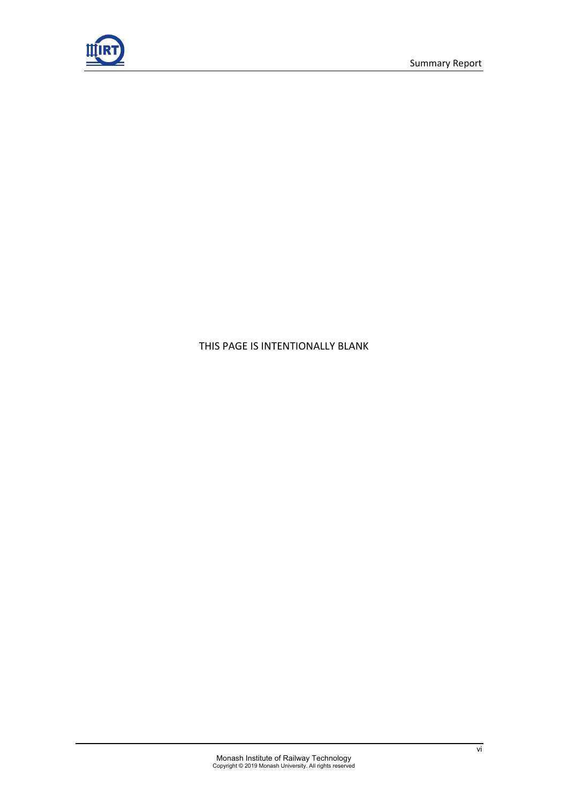

## THIS PAGE IS INTENTIONALLY BLANK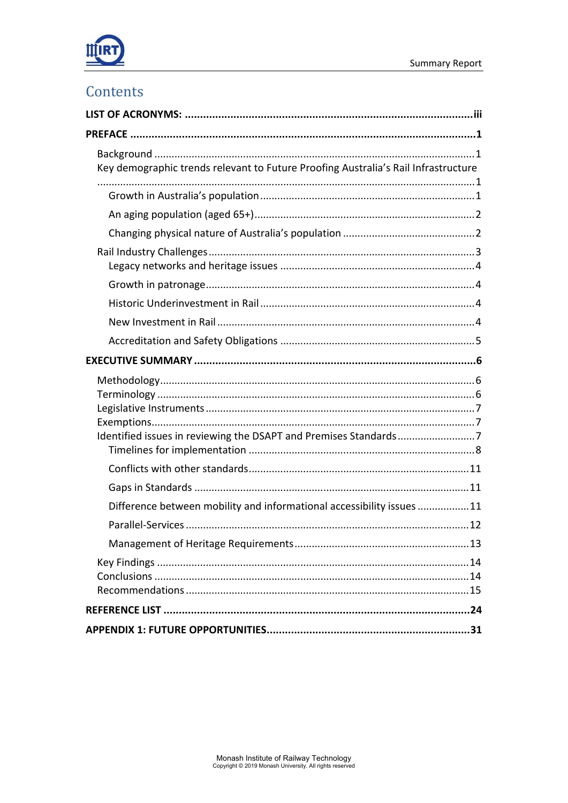

## Contents

| Key demographic trends relevant to Future Proofing Australia's Rail Infrastructure |
|------------------------------------------------------------------------------------|
|                                                                                    |
|                                                                                    |
|                                                                                    |
|                                                                                    |
|                                                                                    |
|                                                                                    |
|                                                                                    |
|                                                                                    |
|                                                                                    |
| Identified issues in reviewing the DSAPT and Premises Standards7                   |
|                                                                                    |
|                                                                                    |
| Difference between mobility and informational accessibility issues 11              |
|                                                                                    |
|                                                                                    |
|                                                                                    |
|                                                                                    |
|                                                                                    |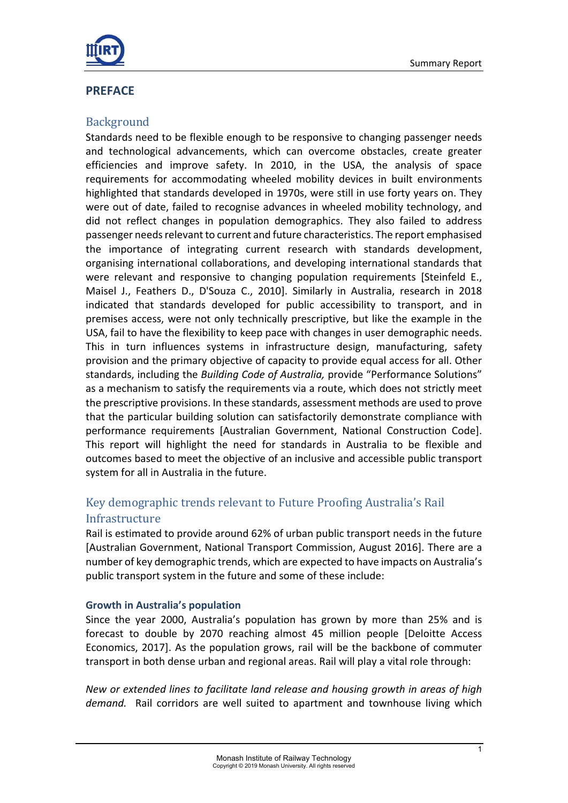

## **PREFACE**

## Background

Standards need to be flexible enough to be responsive to changing passenger needs and technological advancements, which can overcome obstacles, create greater efficiencies and improve safety. In 2010, in the USA, the analysis of space requirements for accommodating wheeled mobility devices in built environments highlighted that standards developed in 1970s, were still in use forty years on. They were out of date, failed to recognise advances in wheeled mobility technology, and did not reflect changes in population demographics. They also failed to address passenger needs relevant to current and future characteristics. The report emphasised the importance of integrating current research with standards development, organising international collaborations, and developing international standards that were relevant and responsive to changing population requirements [Steinfeld E., Maisel J., Feathers D., D'Souza C., 2010]. Similarly in Australia, research in 2018 indicated that standards developed for public accessibility to transport, and in premises access, were not only technically prescriptive, but like the example in the USA, fail to have the flexibility to keep pace with changes in user demographic needs. This in turn influences systems in infrastructure design, manufacturing, safety provision and the primary objective of capacity to provide equal access for all. Other standards, including the *Building Code of Australia,* provide "Performance Solutions" as a mechanism to satisfy the requirements via a route, which does not strictly meet the prescriptive provisions. In these standards, assessment methods are used to prove that the particular building solution can satisfactorily demonstrate compliance with performance requirements [Australian Government, National Construction Code]. This report will highlight the need for standards in Australia to be flexible and outcomes based to meet the objective of an inclusive and accessible public transport system for all in Australia in the future.

## Key demographic trends relevant to Future Proofing Australia's Rail Infrastructure

Rail is estimated to provide around 62% of urban public transport needs in the future [Australian Government, National Transport Commission, August 2016]. There are a number of key demographic trends, which are expected to have impacts on Australia's public transport system in the future and some of these include:

## **Growth in Australia's population**

Since the year 2000, Australia's population has grown by more than 25% and is forecast to double by 2070 reaching almost 45 million people [Deloitte Access Economics, 2017]. As the population grows, rail will be the backbone of commuter transport in both dense urban and regional areas. Rail will play a vital role through:

*New or extended lines to facilitate land release and housing growth in areas of high*  demand. Rail corridors are well suited to apartment and townhouse living which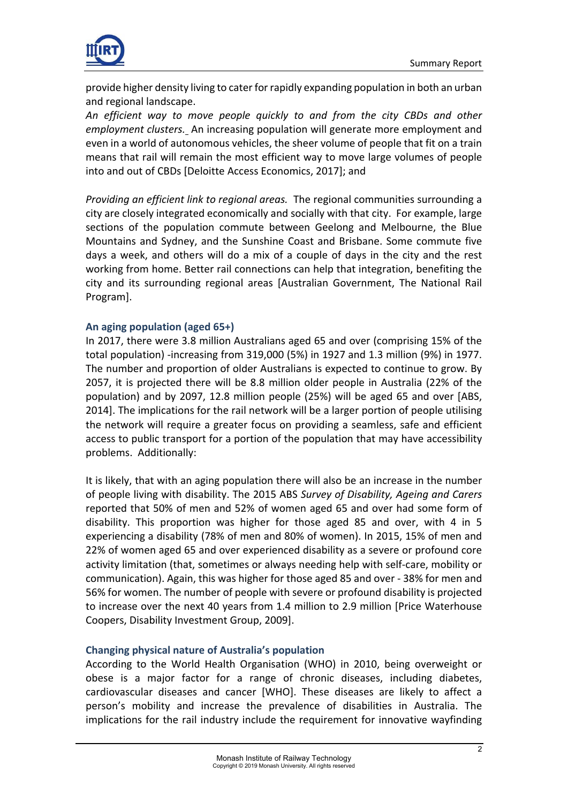

provide higher density living to cater for rapidly expanding population in both an urban and regional landscape.

*An efficient way to move people quickly to and from the city CBDs and other employment clusters.* An increasing population will generate more employment and even in a world of autonomous vehicles, the sheer volume of people that fit on a train means that rail will remain the most efficient way to move large volumes of people into and out of CBDs [Deloitte Access Economics, 2017]; and

*Providing an efficient link to regional areas.* The regional communities surrounding a city are closely integrated economically and socially with that city. For example, large sections of the population commute between Geelong and Melbourne, the Blue Mountains and Sydney, and the Sunshine Coast and Brisbane. Some commute five days a week, and others will do a mix of a couple of days in the city and the rest working from home. Better rail connections can help that integration, benefiting the city and its surrounding regional areas [Australian Government, The National Rail Program].

## **An aging population (aged 65+)**

In 2017, there were 3.8 million Australians aged 65 and over (comprising 15% of the total population) ‐increasing from 319,000 (5%) in 1927 and 1.3 million (9%) in 1977. The number and proportion of older Australians is expected to continue to grow. By 2057, it is projected there will be 8.8 million older people in Australia (22% of the population) and by 2097, 12.8 million people (25%) will be aged 65 and over [ABS, 2014]. The implications for the rail network will be a larger portion of people utilising the network will require a greater focus on providing a seamless, safe and efficient access to public transport for a portion of the population that may have accessibility problems. Additionally:

It is likely, that with an aging population there will also be an increase in the number of people living with disability. The 2015 ABS *Survey of Disability, Ageing and Carers* reported that 50% of men and 52% of women aged 65 and over had some form of disability. This proportion was higher for those aged 85 and over, with 4 in 5 experiencing a disability (78% of men and 80% of women). In 2015, 15% of men and 22% of women aged 65 and over experienced disability as a severe or profound core activity limitation (that, sometimes or always needing help with self‐care, mobility or communication). Again, this was higher for those aged 85 and over ‐ 38% for men and 56% for women. The number of people with severe or profound disability is projected to increase over the next 40 years from 1.4 million to 2.9 million [Price Waterhouse Coopers, Disability Investment Group, 2009].

#### **Changing physical nature of Australia's population**

According to the World Health Organisation (WHO) in 2010, being overweight or obese is a major factor for a range of chronic diseases, including diabetes, cardiovascular diseases and cancer [WHO]. These diseases are likely to affect a person's mobility and increase the prevalence of disabilities in Australia. The implications for the rail industry include the requirement for innovative wayfinding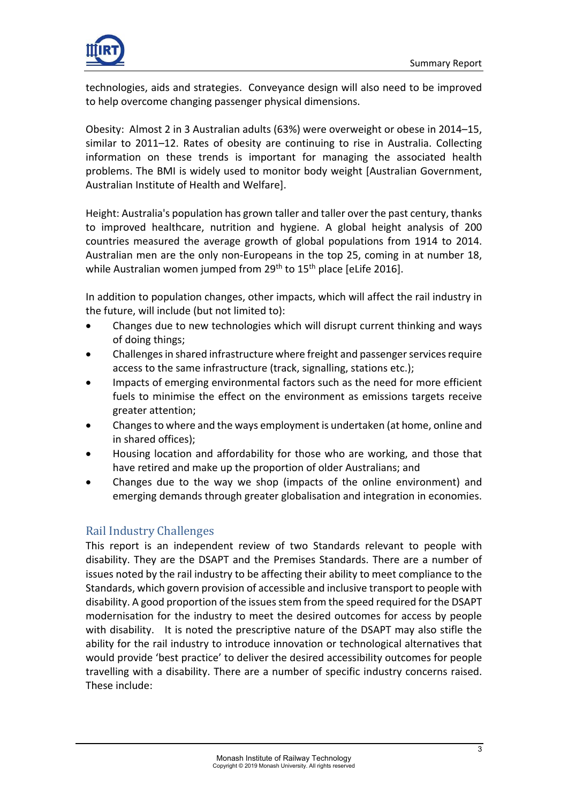

technologies, aids and strategies. Conveyance design will also need to be improved to help overcome changing passenger physical dimensions.

Obesity: Almost 2 in 3 Australian adults (63%) were overweight or obese in 2014–15, similar to 2011–12. Rates of obesity are continuing to rise in Australia. Collecting information on these trends is important for managing the associated health problems. The BMI is widely used to monitor body weight [Australian Government, Australian Institute of Health and Welfare].

Height: Australia's population has grown taller and taller over the past century, thanks to improved healthcare, nutrition and hygiene. A global height analysis of 200 countries measured the average growth of global populations from 1914 to 2014. Australian men are the only non‐Europeans in the top 25, coming in at number 18, while Australian women jumped from  $29^{th}$  to  $15^{th}$  place [eLife 2016].

In addition to population changes, other impacts, which will affect the rail industry in the future, will include (but not limited to):

- Changes due to new technologies which will disrupt current thinking and ways of doing things;
- Challenges in shared infrastructure where freight and passenger services require access to the same infrastructure (track, signalling, stations etc.);
- Impacts of emerging environmental factors such as the need for more efficient fuels to minimise the effect on the environment as emissions targets receive greater attention;
- Changes to where and the ways employment is undertaken (at home, online and in shared offices);
- Housing location and affordability for those who are working, and those that have retired and make up the proportion of older Australians; and
- Changes due to the way we shop (impacts of the online environment) and emerging demands through greater globalisation and integration in economies.

## Rail Industry Challenges

This report is an independent review of two Standards relevant to people with disability. They are the DSAPT and the Premises Standards. There are a number of issues noted by the rail industry to be affecting their ability to meet compliance to the Standards, which govern provision of accessible and inclusive transport to people with disability. A good proportion of the issues stem from the speed required for the DSAPT modernisation for the industry to meet the desired outcomes for access by people with disability. It is noted the prescriptive nature of the DSAPT may also stifle the ability for the rail industry to introduce innovation or technological alternatives that would provide 'best practice' to deliver the desired accessibility outcomes for people travelling with a disability. There are a number of specific industry concerns raised. These include: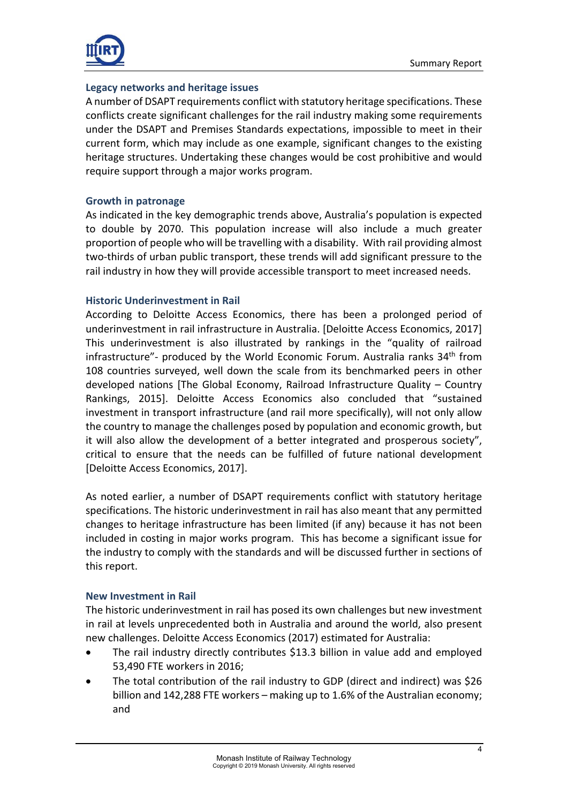

#### **Legacy networks and heritage issues**

A number of DSAPT requirements conflict with statutory heritage specifications. These conflicts create significant challenges for the rail industry making some requirements under the DSAPT and Premises Standards expectations, impossible to meet in their current form, which may include as one example, significant changes to the existing heritage structures. Undertaking these changes would be cost prohibitive and would require support through a major works program.

#### **Growth in patronage**

As indicated in the key demographic trends above, Australia's population is expected to double by 2070. This population increase will also include a much greater proportion of people who will be travelling with a disability. With rail providing almost two‐thirds of urban public transport, these trends will add significant pressure to the rail industry in how they will provide accessible transport to meet increased needs.

#### **Historic Underinvestment in Rail**

According to Deloitte Access Economics, there has been a prolonged period of underinvestment in rail infrastructure in Australia. [Deloitte Access Economics, 2017] This underinvestment is also illustrated by rankings in the "quality of railroad infrastructure"- produced by the World Economic Forum. Australia ranks 34<sup>th</sup> from 108 countries surveyed, well down the scale from its benchmarked peers in other developed nations [The Global Economy, Railroad Infrastructure Quality - Country Rankings, 2015]. Deloitte Access Economics also concluded that "sustained investment in transport infrastructure (and rail more specifically), will not only allow the country to manage the challenges posed by population and economic growth, but it will also allow the development of a better integrated and prosperous society", critical to ensure that the needs can be fulfilled of future national development [Deloitte Access Economics, 2017].

As noted earlier, a number of DSAPT requirements conflict with statutory heritage specifications. The historic underinvestment in rail has also meant that any permitted changes to heritage infrastructure has been limited (if any) because it has not been included in costing in major works program. This has become a significant issue for the industry to comply with the standards and will be discussed further in sections of this report.

#### **New Investment in Rail**

The historic underinvestment in rail has posed its own challenges but new investment in rail at levels unprecedented both in Australia and around the world, also present new challenges. Deloitte Access Economics (2017) estimated for Australia:

- The rail industry directly contributes \$13.3 billion in value add and employed 53,490 FTE workers in 2016;
- The total contribution of the rail industry to GDP (direct and indirect) was \$26 billion and 142,288 FTE workers – making up to 1.6% of the Australian economy; and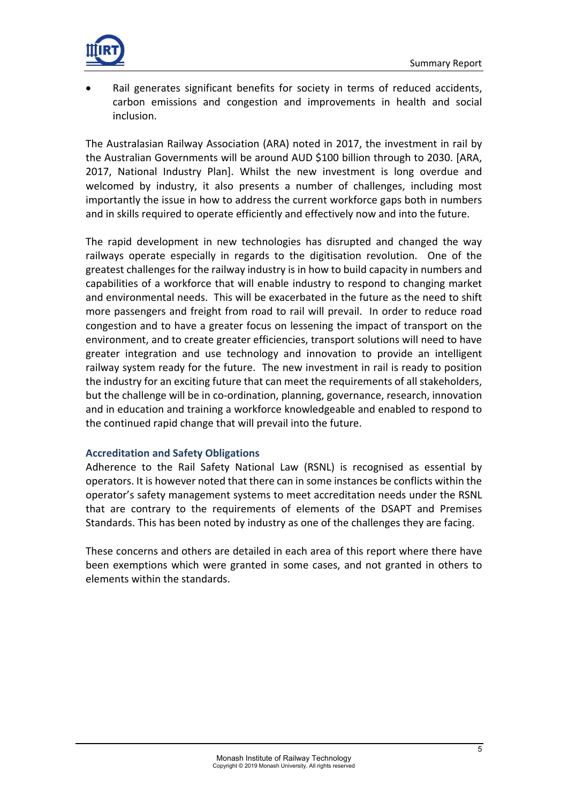

 Rail generates significant benefits for society in terms of reduced accidents, carbon emissions and congestion and improvements in health and social inclusion.

The Australasian Railway Association (ARA) noted in 2017, the investment in rail by the Australian Governments will be around AUD \$100 billion through to 2030. [ARA, 2017, National Industry Plan]. Whilst the new investment is long overdue and welcomed by industry, it also presents a number of challenges, including most importantly the issue in how to address the current workforce gaps both in numbers and in skills required to operate efficiently and effectively now and into the future.

The rapid development in new technologies has disrupted and changed the way railways operate especially in regards to the digitisation revolution. One of the greatest challenges for the railway industry is in how to build capacity in numbers and capabilities of a workforce that will enable industry to respond to changing market and environmental needs. This will be exacerbated in the future as the need to shift more passengers and freight from road to rail will prevail. In order to reduce road congestion and to have a greater focus on lessening the impact of transport on the environment, and to create greater efficiencies, transport solutions will need to have greater integration and use technology and innovation to provide an intelligent railway system ready for the future. The new investment in rail is ready to position the industry for an exciting future that can meet the requirements of all stakeholders, but the challenge will be in co-ordination, planning, governance, research, innovation and in education and training a workforce knowledgeable and enabled to respond to the continued rapid change that will prevail into the future.

#### **Accreditation and Safety Obligations**

Adherence to the Rail Safety National Law (RSNL) is recognised as essential by operators. It is however noted that there can in some instances be conflicts within the operator's safety management systems to meet accreditation needs under the RSNL that are contrary to the requirements of elements of the DSAPT and Premises Standards. This has been noted by industry as one of the challenges they are facing.

These concerns and others are detailed in each area of this report where there have been exemptions which were granted in some cases, and not granted in others to elements within the standards.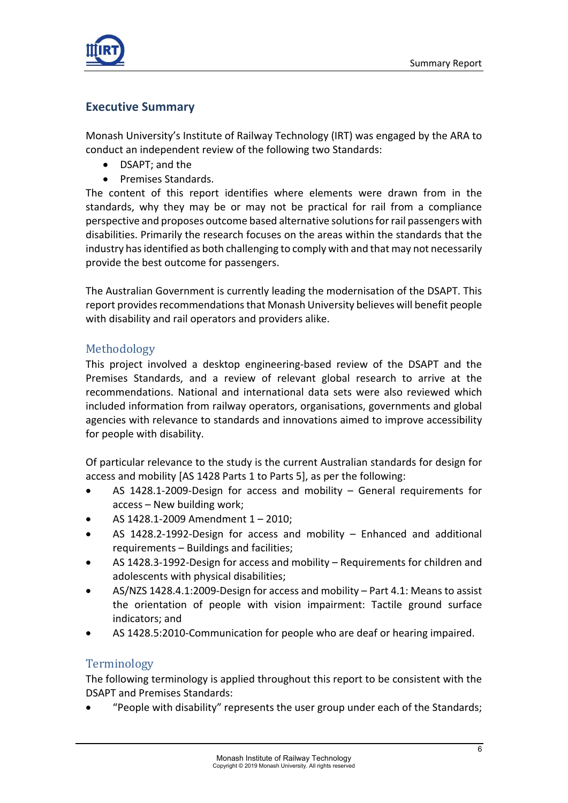

## **Executive Summary**

Monash University's Institute of Railway Technology (IRT) was engaged by the ARA to conduct an independent review of the following two Standards:

- DSAPT; and the
- Premises Standards.

The content of this report identifies where elements were drawn from in the standards, why they may be or may not be practical for rail from a compliance perspective and proposes outcome based alternative solutions for rail passengers with disabilities. Primarily the research focuses on the areas within the standards that the industry has identified as both challenging to comply with and that may not necessarily provide the best outcome for passengers.

The Australian Government is currently leading the modernisation of the DSAPT. This report provides recommendations that Monash University believes will benefit people with disability and rail operators and providers alike.

## Methodology

This project involved a desktop engineering-based review of the DSAPT and the Premises Standards, and a review of relevant global research to arrive at the recommendations. National and international data sets were also reviewed which included information from railway operators, organisations, governments and global agencies with relevance to standards and innovations aimed to improve accessibility for people with disability.

Of particular relevance to the study is the current Australian standards for design for access and mobility [AS 1428 Parts 1 to Parts 5], as per the following:

- AS 1428.1‐2009‐Design for access and mobility General requirements for access – New building work;
- AS 1428.1‐2009 Amendment 1 2010;
- AS 1428.2-1992-Design for access and mobility Enhanced and additional requirements – Buildings and facilities;
- AS 1428.3‐1992‐Design for access and mobility Requirements for children and adolescents with physical disabilities;
- AS/NZS 1428.4.1:2009‐Design for access and mobility Part 4.1: Means to assist the orientation of people with vision impairment: Tactile ground surface indicators; and
- AS 1428.5:2010‐Communication for people who are deaf or hearing impaired.

## Terminology

The following terminology is applied throughout this report to be consistent with the DSAPT and Premises Standards:

"People with disability" represents the user group under each of the Standards;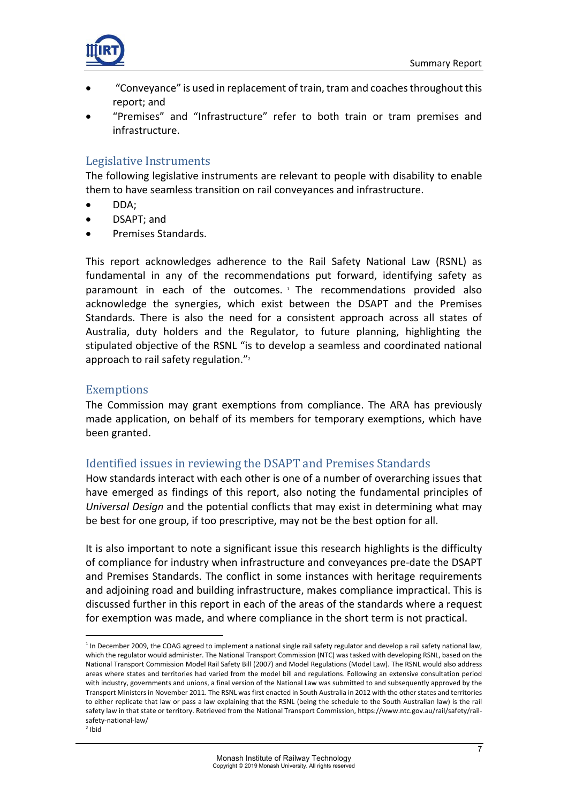

- "Conveyance" is used in replacement of train, tram and coaches throughout this report; and
- "Premises" and "Infrastructure" refer to both train or tram premises and infrastructure.

## Legislative Instruments

The following legislative instruments are relevant to people with disability to enable them to have seamless transition on rail conveyances and infrastructure.

- DDA;
- DSAPT; and
- Premises Standards.

This report acknowledges adherence to the Rail Safety National Law (RSNL) as fundamental in any of the recommendations put forward, identifying safety as paramount in each of the outcomes.<sup>1</sup> The recommendations provided also acknowledge the synergies, which exist between the DSAPT and the Premises Standards. There is also the need for a consistent approach across all states of Australia, duty holders and the Regulator, to future planning, highlighting the stipulated objective of the RSNL "is to develop a seamless and coordinated national approach to rail safety regulation."<sup>2</sup>

## Exemptions

The Commission may grant exemptions from compliance. The ARA has previously made application, on behalf of its members for temporary exemptions, which have been granted.

## Identified issues in reviewing the DSAPT and Premises Standards

How standards interact with each other is one of a number of overarching issues that have emerged as findings of this report, also noting the fundamental principles of *Universal Design* and the potential conflicts that may exist in determining what may be best for one group, if too prescriptive, may not be the best option for all.

It is also important to note a significant issue this research highlights is the difficulty of compliance for industry when infrastructure and conveyances pre‐date the DSAPT and Premises Standards. The conflict in some instances with heritage requirements and adjoining road and building infrastructure, makes compliance impractical. This is discussed further in this report in each of the areas of the standards where a request for exemption was made, and where compliance in the short term is not practical.

<sup>&</sup>lt;sup>1</sup> In December 2009, the COAG agreed to implement a national single rail safety regulator and develop a rail safety national law, which the regulator would administer. The National Transport Commission (NTC) was tasked with developing RSNL, based on the National Transport Commission Model Rail Safety Bill (2007) and Model Regulations (Model Law). The RSNL would also address areas where states and territories had varied from the model bill and regulations. Following an extensive consultation period with industry, governments and unions, a final version of the National Law was submitted to and subsequently approved by the Transport Ministers in November 2011. The RSNL was first enacted in South Australia in 2012 with the other states and territories to either replicate that law or pass a law explaining that the RSNL (being the schedule to the South Australian law) is the rail safety law in that state or territory. Retrieved from the National Transport Commission, https://www.ntc.gov.au/rail/safety/railsafety‐national‐law/

<sup>&</sup>lt;sup>2</sup> Ibid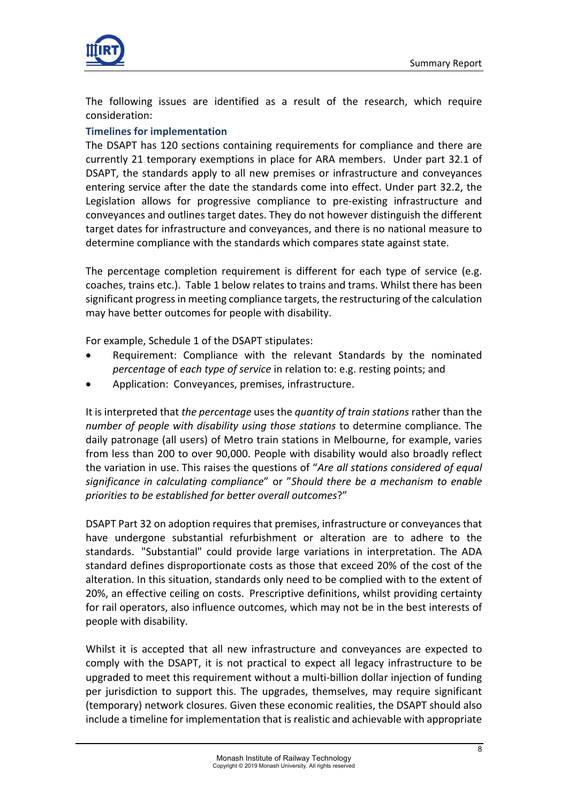

The following issues are identified as a result of the research, which require consideration:

## **Timelines for implementation**

The DSAPT has 120 sections containing requirements for compliance and there are currently 21 temporary exemptions in place for ARA members. Under part 32.1 of DSAPT, the standards apply to all new premises or infrastructure and conveyances entering service after the date the standards come into effect. Under part 32.2, the Legislation allows for progressive compliance to pre-existing infrastructure and conveyances and outlines target dates. They do not however distinguish the different target dates for infrastructure and conveyances, and there is no national measure to determine compliance with the standards which compares state against state.

The percentage completion requirement is different for each type of service (e.g. coaches, trains etc.). Table 1 below relates to trains and trams. Whilst there has been significant progress in meeting compliance targets, the restructuring of the calculation may have better outcomes for people with disability.

For example, Schedule 1 of the DSAPT stipulates:

- Requirement: Compliance with the relevant Standards by the nominated *percentage* of *each type of service* in relation to: e.g. resting points; and
- Application: Conveyances, premises, infrastructure.

It is interpreted that *the percentage* uses the *quantity of train stations* rather than the *number of people with disability using those stations* to determine compliance. The daily patronage (all users) of Metro train stations in Melbourne, for example, varies from less than 200 to over 90,000. People with disability would also broadly reflect the variation in use. This raises the questions of "*Are all stations considered of equal significance in calculating compliance*" or "*Should there be a mechanism to enable priorities to be established for better overall outcomes*?"

DSAPT Part 32 on adoption requires that premises, infrastructure or conveyances that have undergone substantial refurbishment or alteration are to adhere to the standards. "Substantial" could provide large variations in interpretation. The ADA standard defines disproportionate costs as those that exceed 20% of the cost of the alteration. In this situation, standards only need to be complied with to the extent of 20%, an effective ceiling on costs. Prescriptive definitions, whilst providing certainty for rail operators, also influence outcomes, which may not be in the best interests of people with disability.

Whilst it is accepted that all new infrastructure and conveyances are expected to comply with the DSAPT, it is not practical to expect all legacy infrastructure to be upgraded to meet this requirement without a multi‐billion dollar injection of funding per jurisdiction to support this. The upgrades, themselves, may require significant (temporary) network closures. Given these economic realities, the DSAPT should also include a timeline for implementation that is realistic and achievable with appropriate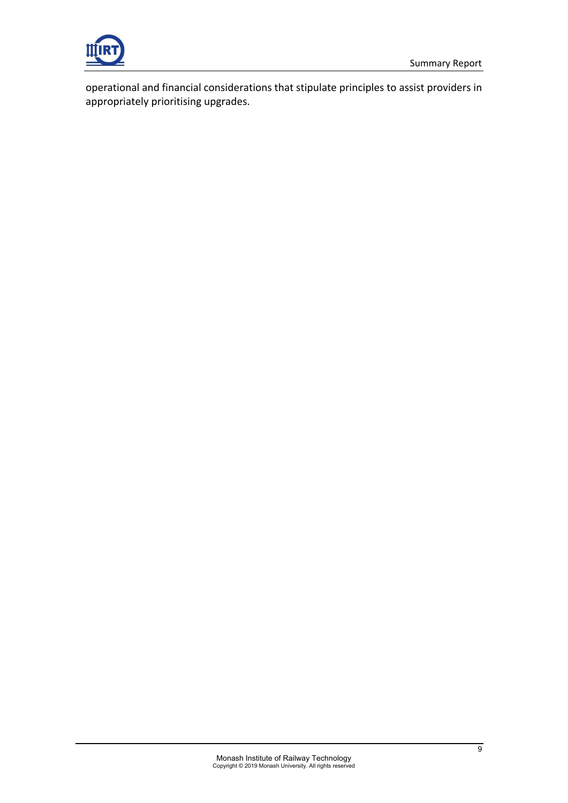

operational and financial considerations that stipulate principles to assist providers in appropriately prioritising upgrades.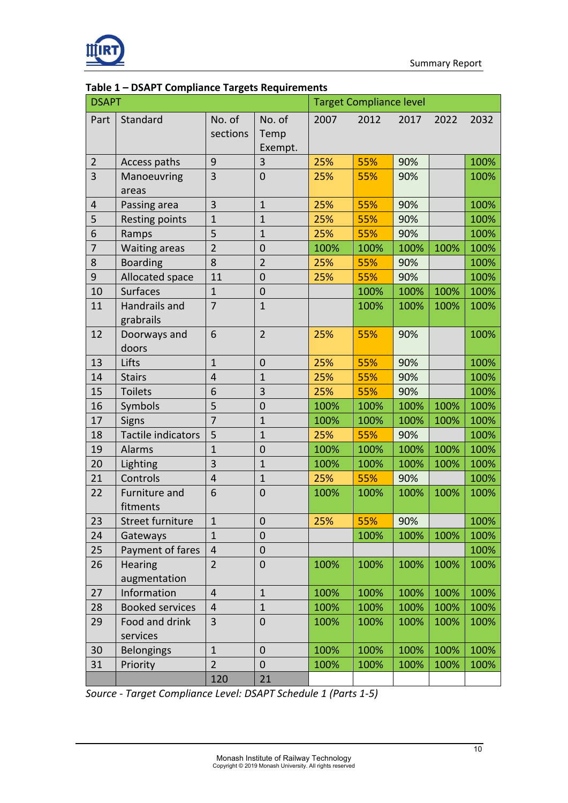

| <b>DSAPT</b>   |                                  |                    |                           |      | <b>Target Compliance level</b> |      |      |      |
|----------------|----------------------------------|--------------------|---------------------------|------|--------------------------------|------|------|------|
| Part           | Standard                         | No. of<br>sections | No. of<br>Temp<br>Exempt. | 2007 | 2012                           | 2017 | 2022 | 2032 |
| $\overline{2}$ | Access paths                     | 9                  | 3                         | 25%  | 55%                            | 90%  |      | 100% |
| $\overline{3}$ | Manoeuvring<br>areas             | $\overline{3}$     | $\overline{0}$            | 25%  | 55%                            | 90%  |      | 100% |
| 4              | Passing area                     | 3                  | $\mathbf{1}$              | 25%  | 55%                            | 90%  |      | 100% |
| 5              | Resting points                   | $\mathbf{1}$       | $\mathbf{1}$              | 25%  | 55%                            | 90%  |      | 100% |
| 6              | Ramps                            | 5                  | $\mathbf{1}$              | 25%  | 55%                            | 90%  |      | 100% |
| $\overline{7}$ | <b>Waiting areas</b>             | $\overline{2}$     | $\mathbf 0$               | 100% | 100%                           | 100% | 100% | 100% |
| 8              | <b>Boarding</b>                  | 8                  | $\overline{2}$            | 25%  | 55%                            | 90%  |      | 100% |
| 9              | Allocated space                  | 11                 | $\mathbf 0$               | 25%  | 55%                            | 90%  |      | 100% |
| 10             | <b>Surfaces</b>                  | $\mathbf{1}$       | $\mathbf 0$               |      | 100%                           | 100% | 100% | 100% |
| 11             | Handrails and<br>grabrails       | $\overline{7}$     | $\mathbf{1}$              |      | 100%                           | 100% | 100% | 100% |
| 12             | Doorways and<br>doors            | 6                  | $\overline{2}$            | 25%  | 55%                            | 90%  |      | 100% |
| 13             | Lifts                            | $\mathbf{1}$       | 0                         | 25%  | 55%                            | 90%  |      | 100% |
| 14             | <b>Stairs</b>                    | $\overline{4}$     | $\overline{1}$            | 25%  | 55%                            | 90%  |      | 100% |
| 15             | <b>Toilets</b>                   | 6                  | 3                         | 25%  | 55%                            | 90%  |      | 100% |
| 16             | Symbols                          | 5                  | $\overline{0}$            | 100% | 100%                           | 100% | 100% | 100% |
| 17             | <b>Signs</b>                     | $\overline{7}$     | $\mathbf 1$               | 100% | 100%                           | 100% | 100% | 100% |
| 18             | Tactile indicators               | 5                  | $\mathbf{1}$              | 25%  | 55%                            | 90%  |      | 100% |
| 19             | Alarms                           | $\mathbf{1}$       | 0                         | 100% | 100%                           | 100% | 100% | 100% |
| 20             | Lighting                         | 3                  | $\mathbf{1}$              | 100% | 100%                           | 100% | 100% | 100% |
| 21             | Controls                         | $\overline{4}$     | $\mathbf{1}$              | 25%  | 55%                            | 90%  |      | 100% |
| 22             | <b>Furniture and</b><br>fitments | 6                  | 0                         | 100% | 100%                           | 100% | 100% | 100% |
| 23             | Street furniture                 | 1                  | $\overline{0}$            | 25%  | 55%                            | 90%  |      | 100% |
| 24             | Gateways                         | $\mathbf{1}$       | 0                         |      | 100%                           | 100% | 100% | 100% |
| 25             | Payment of fares                 | $\overline{4}$     | $\pmb{0}$                 |      |                                |      |      | 100% |
| 26             | <b>Hearing</b><br>augmentation   | $\overline{2}$     | $\mathbf 0$               | 100% | 100%                           | 100% | 100% | 100% |
| 27             | Information                      | $\overline{4}$     | $\mathbf{1}$              | 100% | 100%                           | 100% | 100% | 100% |
| 28             | <b>Booked services</b>           | 4                  | $\mathbf{1}$              | 100% | 100%                           | 100% | 100% | 100% |
| 29             | Food and drink<br>services       | $\overline{3}$     | $\overline{0}$            | 100% | 100%                           | 100% | 100% | 100% |
| 30             | <b>Belongings</b>                | $\mathbf{1}$       | $\boldsymbol{0}$          | 100% | 100%                           | 100% | 100% | 100% |
| 31             | Priority                         | $\overline{2}$     | 0                         | 100% | 100%                           | 100% | 100% | 100% |
|                |                                  | 120                | 21                        |      |                                |      |      |      |

#### **Table 1 – DSAPT Compliance Targets Requirements**

*Source ‐ Target Compliance Level: DSAPT Schedule 1 (Parts 1‐5)*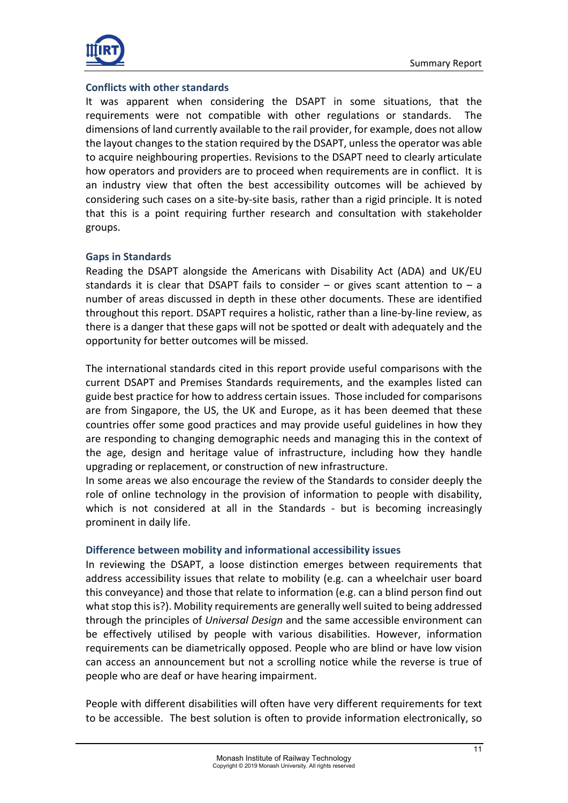



#### **Conflicts with other standards**

It was apparent when considering the DSAPT in some situations, that the requirements were not compatible with other regulations or standards. The dimensions of land currently available to the rail provider, for example, does not allow the layout changes to the station required by the DSAPT, unless the operator was able to acquire neighbouring properties. Revisions to the DSAPT need to clearly articulate how operators and providers are to proceed when requirements are in conflict. It is an industry view that often the best accessibility outcomes will be achieved by considering such cases on a site‐by‐site basis, rather than a rigid principle. It is noted that this is a point requiring further research and consultation with stakeholder groups.

#### **Gaps in Standards**

Reading the DSAPT alongside the Americans with Disability Act (ADA) and UK/EU standards it is clear that DSAPT fails to consider  $-$  or gives scant attention to  $-$  a number of areas discussed in depth in these other documents. These are identified throughout this report. DSAPT requires a holistic, rather than a line‐by‐line review, as there is a danger that these gaps will not be spotted or dealt with adequately and the opportunity for better outcomes will be missed.

The international standards cited in this report provide useful comparisons with the current DSAPT and Premises Standards requirements, and the examples listed can guide best practice for how to address certain issues. Those included for comparisons are from Singapore, the US, the UK and Europe, as it has been deemed that these countries offer some good practices and may provide useful guidelines in how they are responding to changing demographic needs and managing this in the context of the age, design and heritage value of infrastructure, including how they handle upgrading or replacement, or construction of new infrastructure.

In some areas we also encourage the review of the Standards to consider deeply the role of online technology in the provision of information to people with disability, which is not considered at all in the Standards - but is becoming increasingly prominent in daily life.

#### **Difference between mobility and informational accessibility issues**

In reviewing the DSAPT, a loose distinction emerges between requirements that address accessibility issues that relate to mobility (e.g. can a wheelchair user board this conveyance) and those that relate to information (e.g. can a blind person find out what stop this is?). Mobility requirements are generally well suited to being addressed through the principles of *Universal Design* and the same accessible environment can be effectively utilised by people with various disabilities. However, information requirements can be diametrically opposed. People who are blind or have low vision can access an announcement but not a scrolling notice while the reverse is true of people who are deaf or have hearing impairment.

People with different disabilities will often have very different requirements for text to be accessible. The best solution is often to provide information electronically, so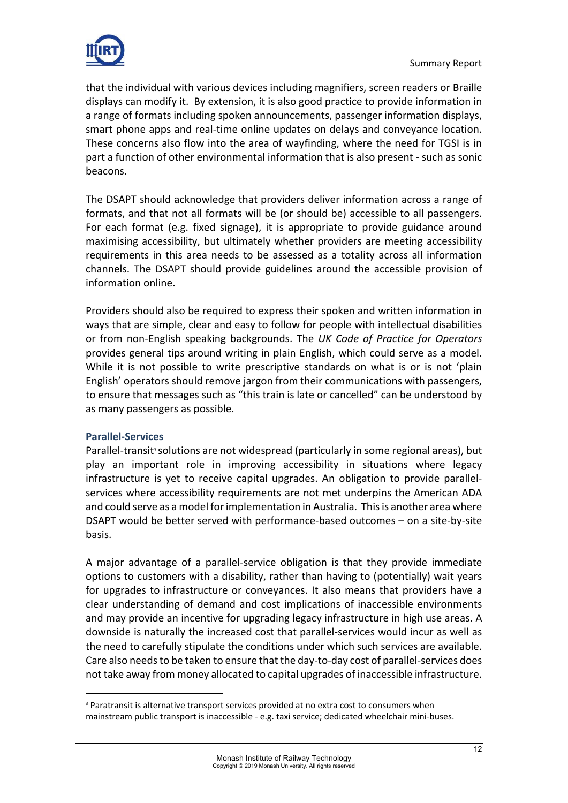

that the individual with various devices including magnifiers, screen readers or Braille displays can modify it. By extension, it is also good practice to provide information in a range of formats including spoken announcements, passenger information displays, smart phone apps and real‐time online updates on delays and conveyance location. These concerns also flow into the area of wayfinding, where the need for TGSI is in part a function of other environmental information that is also present ‐ such as sonic beacons.

The DSAPT should acknowledge that providers deliver information across a range of formats, and that not all formats will be (or should be) accessible to all passengers. For each format (e.g. fixed signage), it is appropriate to provide guidance around maximising accessibility, but ultimately whether providers are meeting accessibility requirements in this area needs to be assessed as a totality across all information channels. The DSAPT should provide guidelines around the accessible provision of information online.

Providers should also be required to express their spoken and written information in ways that are simple, clear and easy to follow for people with intellectual disabilities or from non‐English speaking backgrounds. The *UK Code of Practice for Operators* provides general tips around writing in plain English, which could serve as a model. While it is not possible to write prescriptive standards on what is or is not 'plain English' operators should remove jargon from their communications with passengers, to ensure that messages such as "this train is late or cancelled" can be understood by as many passengers as possible.

## **Parallel‐Services**

Parallel-transit<sup>3</sup> solutions are not widespread (particularly in some regional areas), but play an important role in improving accessibility in situations where legacy infrastructure is yet to receive capital upgrades. An obligation to provide parallelservices where accessibility requirements are not met underpins the American ADA and could serve as a model for implementation in Australia. This is another area where DSAPT would be better served with performance-based outcomes – on a site-by-site basis.

A major advantage of a parallel‐service obligation is that they provide immediate options to customers with a disability, rather than having to (potentially) wait years for upgrades to infrastructure or conveyances. It also means that providers have a clear understanding of demand and cost implications of inaccessible environments and may provide an incentive for upgrading legacy infrastructure in high use areas. A downside is naturally the increased cost that parallel‐services would incur as well as the need to carefully stipulate the conditions under which such services are available. Care also needs to be taken to ensure that the day‐to‐day cost of parallel‐services does not take away from money allocated to capital upgrades of inaccessible infrastructure.

<sup>&</sup>lt;sup>3</sup> Paratransit is alternative transport services provided at no extra cost to consumers when mainstream public transport is inaccessible ‐ e.g. taxi service; dedicated wheelchair mini‐buses.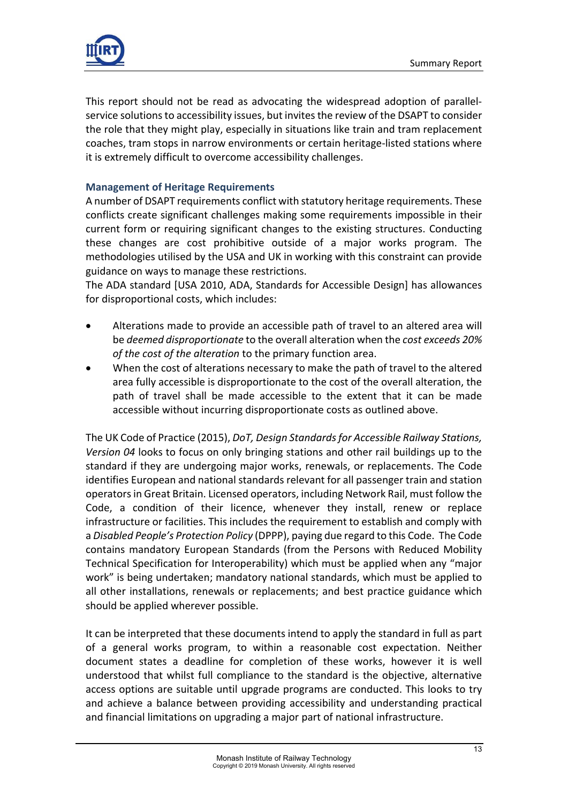

This report should not be read as advocating the widespread adoption of parallel‐ service solutions to accessibility issues, but invites the review of the DSAPT to consider the role that they might play, especially in situations like train and tram replacement coaches, tram stops in narrow environments or certain heritage‐listed stations where it is extremely difficult to overcome accessibility challenges.

## **Management of Heritage Requirements**

A number of DSAPT requirements conflict with statutory heritage requirements. These conflicts create significant challenges making some requirements impossible in their current form or requiring significant changes to the existing structures. Conducting these changes are cost prohibitive outside of a major works program. The methodologies utilised by the USA and UK in working with this constraint can provide guidance on ways to manage these restrictions.

The ADA standard [USA 2010, ADA, Standards for Accessible Design] has allowances for disproportional costs, which includes:

- Alterations made to provide an accessible path of travel to an altered area will be *deemed disproportionate* to the overall alteration when the *cost exceeds 20% of the cost of the alteration* to the primary function area.
- When the cost of alterations necessary to make the path of travel to the altered area fully accessible is disproportionate to the cost of the overall alteration, the path of travel shall be made accessible to the extent that it can be made accessible without incurring disproportionate costs as outlined above.

The UK Code of Practice (2015), *DoT, Design Standards for Accessible Railway Stations, Version 04* looks to focus on only bringing stations and other rail buildings up to the standard if they are undergoing major works, renewals, or replacements. The Code identifies European and national standards relevant for all passenger train and station operators in Great Britain. Licensed operators, including Network Rail, must follow the Code, a condition of their licence, whenever they install, renew or replace infrastructure or facilities. This includes the requirement to establish and comply with a *Disabled People's Protection Policy* (DPPP), paying due regard to this Code. The Code contains mandatory European Standards (from the Persons with Reduced Mobility Technical Specification for Interoperability) which must be applied when any "major work" is being undertaken; mandatory national standards, which must be applied to all other installations, renewals or replacements; and best practice guidance which should be applied wherever possible.

It can be interpreted that these documents intend to apply the standard in full as part of a general works program, to within a reasonable cost expectation. Neither document states a deadline for completion of these works, however it is well understood that whilst full compliance to the standard is the objective, alternative access options are suitable until upgrade programs are conducted. This looks to try and achieve a balance between providing accessibility and understanding practical and financial limitations on upgrading a major part of national infrastructure.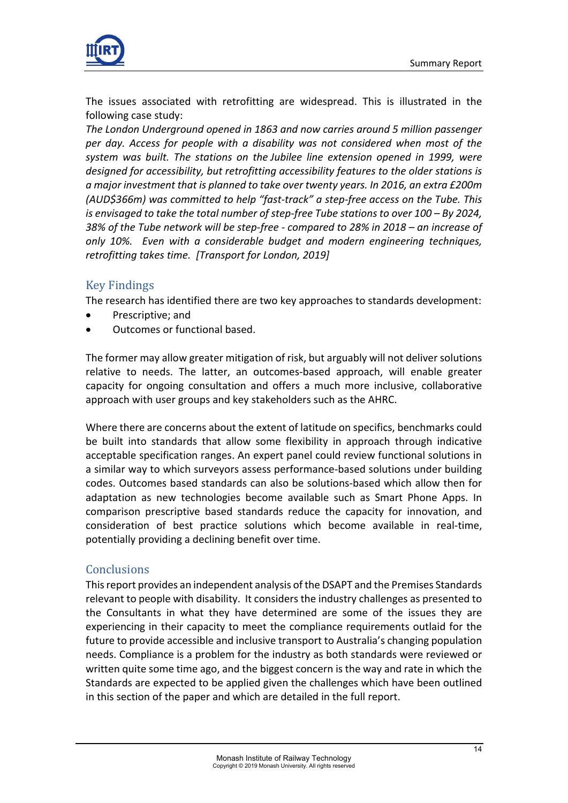

The issues associated with retrofitting are widespread. This is illustrated in the following case study:

*The London Underground opened in 1863 and now carries around 5 million passenger per day. Access for people with a disability was not considered when most of the system was built. The stations on the Jubilee line extension opened in 1999, were designed for accessibility, but retrofitting accessibility features to the older stations is a major investment that is planned to take over twenty years. In 2016, an extra £200m (AUD\$366m) was committed to help "fast‐track" a step‐free access on the Tube. This is envisaged to take the total number of step‐free Tube stations to over 100 – By 2024, 38% of the Tube network will be step‐free ‐ compared to 28% in 2018 – an increase of only 10%. Even with a considerable budget and modern engineering techniques, retrofitting takes time. [Transport for London, 2019]* 

## Key Findings

The research has identified there are two key approaches to standards development:

- Prescriptive; and
- Outcomes or functional based.

The former may allow greater mitigation of risk, but arguably will not deliver solutions relative to needs. The latter, an outcomes-based approach, will enable greater capacity for ongoing consultation and offers a much more inclusive, collaborative approach with user groups and key stakeholders such as the AHRC.

Where there are concerns about the extent of latitude on specifics, benchmarks could be built into standards that allow some flexibility in approach through indicative acceptable specification ranges. An expert panel could review functional solutions in a similar way to which surveyors assess performance‐based solutions under building codes. Outcomes based standards can also be solutions‐based which allow then for adaptation as new technologies become available such as Smart Phone Apps. In comparison prescriptive based standards reduce the capacity for innovation, and consideration of best practice solutions which become available in real-time, potentially providing a declining benefit over time.

## **Conclusions**

This report provides an independent analysis of the DSAPT and the Premises Standards relevant to people with disability. It considers the industry challenges as presented to the Consultants in what they have determined are some of the issues they are experiencing in their capacity to meet the compliance requirements outlaid for the future to provide accessible and inclusive transport to Australia's changing population needs. Compliance is a problem for the industry as both standards were reviewed or written quite some time ago, and the biggest concern is the way and rate in which the Standards are expected to be applied given the challenges which have been outlined in this section of the paper and which are detailed in the full report.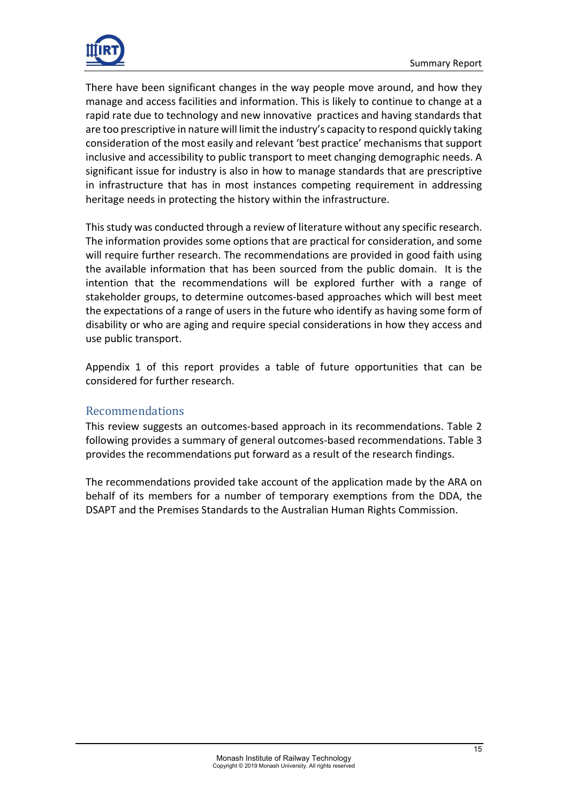

There have been significant changes in the way people move around, and how they manage and access facilities and information. This is likely to continue to change at a rapid rate due to technology and new innovative practices and having standards that are too prescriptive in nature will limit the industry's capacity to respond quickly taking consideration of the most easily and relevant 'best practice' mechanisms that support inclusive and accessibility to public transport to meet changing demographic needs. A significant issue for industry is also in how to manage standards that are prescriptive in infrastructure that has in most instances competing requirement in addressing heritage needs in protecting the history within the infrastructure.

This study was conducted through a review of literature without any specific research. The information provides some options that are practical for consideration, and some will require further research. The recommendations are provided in good faith using the available information that has been sourced from the public domain. It is the intention that the recommendations will be explored further with a range of stakeholder groups, to determine outcomes‐based approaches which will best meet the expectations of a range of users in the future who identify as having some form of disability or who are aging and require special considerations in how they access and use public transport.

Appendix 1 of this report provides a table of future opportunities that can be considered for further research.

## Recommendations

This review suggests an outcomes‐based approach in its recommendations. Table 2 following provides a summary of general outcomes‐based recommendations. Table 3 provides the recommendations put forward as a result of the research findings.

The recommendations provided take account of the application made by the ARA on behalf of its members for a number of temporary exemptions from the DDA, the DSAPT and the Premises Standards to the Australian Human Rights Commission.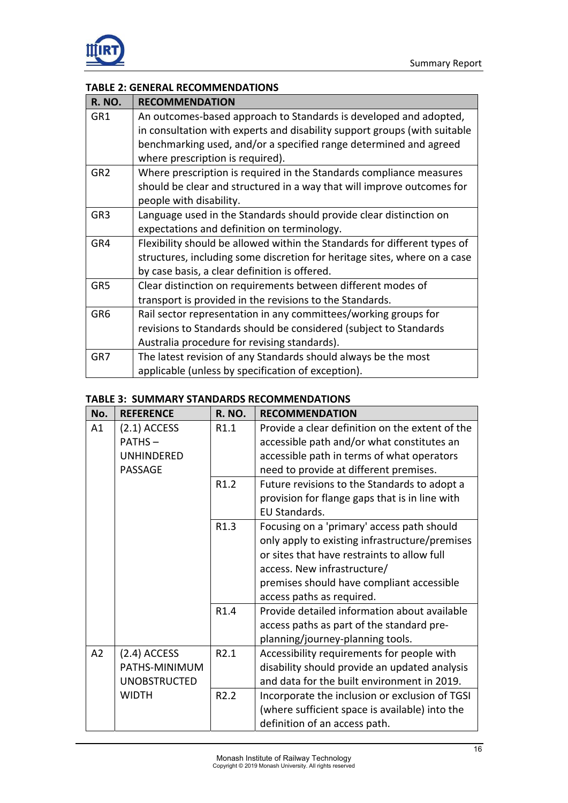

## **TABLE 2: GENERAL RECOMMENDATIONS**

| <b>R. NO.</b>   | <b>RECOMMENDATION</b>                                                     |
|-----------------|---------------------------------------------------------------------------|
| GR1             | An outcomes-based approach to Standards is developed and adopted,         |
|                 | in consultation with experts and disability support groups (with suitable |
|                 | benchmarking used, and/or a specified range determined and agreed         |
|                 | where prescription is required).                                          |
| GR <sub>2</sub> | Where prescription is required in the Standards compliance measures       |
|                 | should be clear and structured in a way that will improve outcomes for    |
|                 | people with disability.                                                   |
| GR <sub>3</sub> | Language used in the Standards should provide clear distinction on        |
|                 | expectations and definition on terminology.                               |
| GR4             | Flexibility should be allowed within the Standards for different types of |
|                 | structures, including some discretion for heritage sites, where on a case |
|                 | by case basis, a clear definition is offered.                             |
| GR5             | Clear distinction on requirements between different modes of              |
|                 | transport is provided in the revisions to the Standards.                  |
| GR <sub>6</sub> | Rail sector representation in any committees/working groups for           |
|                 | revisions to Standards should be considered (subject to Standards         |
|                 | Australia procedure for revising standards).                              |
| GR7             | The latest revision of any Standards should always be the most            |
|                 | applicable (unless by specification of exception).                        |

## **TABLE 3: SUMMARY STANDARDS RECOMMENDATIONS**

| No. | <b>REFERENCE</b>    | <b>R. NO.</b>    | <b>RECOMMENDATION</b>                           |
|-----|---------------------|------------------|-------------------------------------------------|
| A1  | $(2.1)$ ACCESS      | R1.1             | Provide a clear definition on the extent of the |
|     | <b>PATHS-</b>       |                  | accessible path and/or what constitutes an      |
|     | <b>UNHINDERED</b>   |                  | accessible path in terms of what operators      |
|     | PASSAGE             |                  | need to provide at different premises.          |
|     |                     | R <sub>1.2</sub> | Future revisions to the Standards to adopt a    |
|     |                     |                  | provision for flange gaps that is in line with  |
|     |                     |                  | EU Standards.                                   |
|     |                     | R1.3             | Focusing on a 'primary' access path should      |
|     |                     |                  | only apply to existing infrastructure/premises  |
|     |                     |                  | or sites that have restraints to allow full     |
|     |                     |                  | access. New infrastructure/                     |
|     |                     |                  | premises should have compliant accessible       |
|     |                     |                  | access paths as required.                       |
|     |                     | R1.4             | Provide detailed information about available    |
|     |                     |                  | access paths as part of the standard pre-       |
|     |                     |                  | planning/journey-planning tools.                |
| A2  | $(2.4)$ ACCESS      | R2.1             | Accessibility requirements for people with      |
|     | PATHS-MINIMUM       |                  | disability should provide an updated analysis   |
|     | <b>UNOBSTRUCTED</b> |                  | and data for the built environment in 2019.     |
|     | <b>WIDTH</b>        | R <sub>2.2</sub> | Incorporate the inclusion or exclusion of TGSI  |
|     |                     |                  | (where sufficient space is available) into the  |
|     |                     |                  | definition of an access path.                   |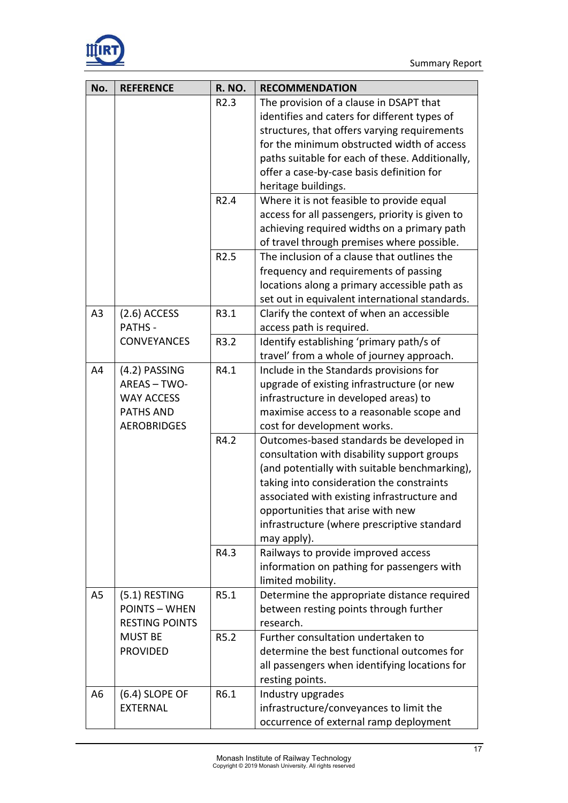

| No. | <b>REFERENCE</b>      | <b>R. NO.</b>    | <b>RECOMMENDATION</b>                           |
|-----|-----------------------|------------------|-------------------------------------------------|
|     |                       | R <sub>2.3</sub> | The provision of a clause in DSAPT that         |
|     |                       |                  | identifies and caters for different types of    |
|     |                       |                  | structures, that offers varying requirements    |
|     |                       |                  | for the minimum obstructed width of access      |
|     |                       |                  | paths suitable for each of these. Additionally, |
|     |                       |                  | offer a case-by-case basis definition for       |
|     |                       |                  | heritage buildings.                             |
|     |                       | R <sub>2.4</sub> | Where it is not feasible to provide equal       |
|     |                       |                  | access for all passengers, priority is given to |
|     |                       |                  | achieving required widths on a primary path     |
|     |                       |                  | of travel through premises where possible.      |
|     |                       | R <sub>2.5</sub> | The inclusion of a clause that outlines the     |
|     |                       |                  | frequency and requirements of passing           |
|     |                       |                  | locations along a primary accessible path as    |
|     |                       |                  | set out in equivalent international standards.  |
| A3  | $(2.6)$ ACCESS        | R3.1             | Clarify the context of when an accessible       |
|     | PATHS -               |                  | access path is required.                        |
|     | <b>CONVEYANCES</b>    | R3.2             | Identify establishing 'primary path/s of        |
|     |                       |                  | travel' from a whole of journey approach.       |
| A4  | (4.2) PASSING         | R4.1             | Include in the Standards provisions for         |
|     | <b>AREAS - TWO-</b>   |                  | upgrade of existing infrastructure (or new      |
|     | <b>WAY ACCESS</b>     |                  | infrastructure in developed areas) to           |
|     | <b>PATHS AND</b>      |                  | maximise access to a reasonable scope and       |
|     | <b>AEROBRIDGES</b>    |                  | cost for development works.                     |
|     |                       | R4.2             | Outcomes-based standards be developed in        |
|     |                       |                  | consultation with disability support groups     |
|     |                       |                  | (and potentially with suitable benchmarking),   |
|     |                       |                  | taking into consideration the constraints       |
|     |                       |                  | associated with existing infrastructure and     |
|     |                       |                  | opportunities that arise with new               |
|     |                       |                  | infrastructure (where prescriptive standard     |
|     |                       |                  | may apply).                                     |
|     |                       | R4.3             | Railways to provide improved access             |
|     |                       |                  | information on pathing for passengers with      |
|     |                       |                  | limited mobility.                               |
| A5  | (5.1) RESTING         | R5.1             | Determine the appropriate distance required     |
|     | <b>POINTS - WHEN</b>  |                  | between resting points through further          |
|     | <b>RESTING POINTS</b> |                  | research.                                       |
|     | <b>MUST BE</b>        | R5.2             | Further consultation undertaken to              |
|     | <b>PROVIDED</b>       |                  | determine the best functional outcomes for      |
|     |                       |                  | all passengers when identifying locations for   |
|     |                       |                  | resting points.                                 |
| A6  | (6.4) SLOPE OF        | R6.1             | Industry upgrades                               |
|     | <b>EXTERNAL</b>       |                  | infrastructure/conveyances to limit the         |
|     |                       |                  | occurrence of external ramp deployment          |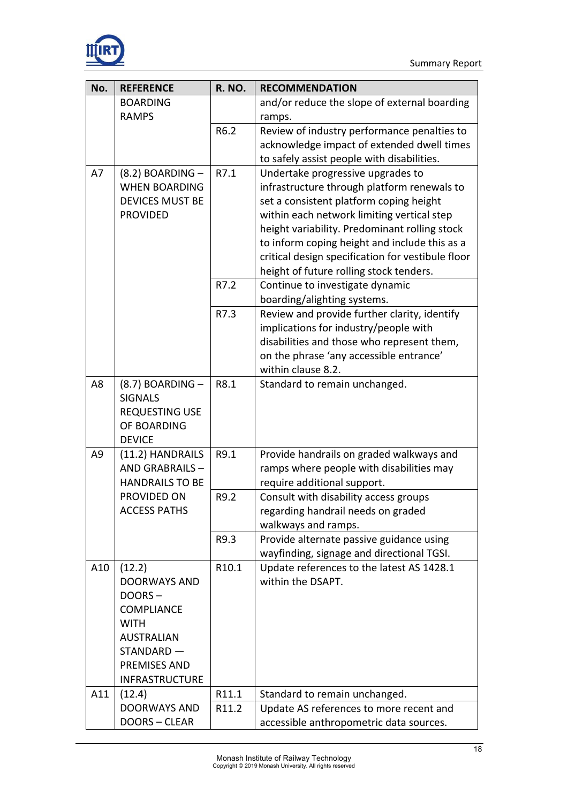

| No.            | <b>REFERENCE</b>                     | R. NO. | <b>RECOMMENDATION</b>                             |
|----------------|--------------------------------------|--------|---------------------------------------------------|
|                | <b>BOARDING</b>                      |        | and/or reduce the slope of external boarding      |
|                | <b>RAMPS</b>                         |        | ramps.                                            |
|                |                                      | R6.2   | Review of industry performance penalties to       |
|                |                                      |        | acknowledge impact of extended dwell times        |
|                |                                      |        | to safely assist people with disabilities.        |
| A7             | $(8.2)$ BOARDING -                   | R7.1   | Undertake progressive upgrades to                 |
|                | <b>WHEN BOARDING</b>                 |        | infrastructure through platform renewals to       |
|                | <b>DEVICES MUST BE</b>               |        | set a consistent platform coping height           |
|                | <b>PROVIDED</b>                      |        | within each network limiting vertical step        |
|                |                                      |        | height variability. Predominant rolling stock     |
|                |                                      |        | to inform coping height and include this as a     |
|                |                                      |        | critical design specification for vestibule floor |
|                |                                      |        | height of future rolling stock tenders.           |
|                |                                      | R7.2   | Continue to investigate dynamic                   |
|                |                                      |        | boarding/alighting systems.                       |
|                |                                      | R7.3   | Review and provide further clarity, identify      |
|                |                                      |        | implications for industry/people with             |
|                |                                      |        | disabilities and those who represent them,        |
|                |                                      |        | on the phrase 'any accessible entrance'           |
|                |                                      |        | within clause 8.2.                                |
| A8             | $(8.7)$ BOARDING -<br><b>SIGNALS</b> | R8.1   | Standard to remain unchanged.                     |
|                | <b>REQUESTING USE</b>                |        |                                                   |
|                | OF BOARDING                          |        |                                                   |
|                | <b>DEVICE</b>                        |        |                                                   |
| A <sub>9</sub> | (11.2) HANDRAILS                     | R9.1   | Provide handrails on graded walkways and          |
|                | AND GRABRAILS-                       |        | ramps where people with disabilities may          |
|                | <b>HANDRAILS TO BE</b>               |        | require additional support.                       |
|                | PROVIDED ON                          | R9.2   | Consult with disability access groups             |
|                | <b>ACCESS PATHS</b>                  |        | regarding handrail needs on graded                |
|                |                                      |        | walkways and ramps.                               |
|                |                                      | R9.3   | Provide alternate passive guidance using          |
|                |                                      |        | wayfinding, signage and directional TGSI.         |
| A10            | (12.2)                               | R10.1  | Update references to the latest AS 1428.1         |
|                | <b>DOORWAYS AND</b>                  |        | within the DSAPT.                                 |
|                | DOORS-                               |        |                                                   |
|                | <b>COMPLIANCE</b>                    |        |                                                   |
|                | <b>WITH</b>                          |        |                                                   |
|                | <b>AUSTRALIAN</b>                    |        |                                                   |
|                | STANDARD-<br>PREMISES AND            |        |                                                   |
|                | <b>INFRASTRUCTURE</b>                |        |                                                   |
| A11            | (12.4)                               | R11.1  | Standard to remain unchanged.                     |
|                | <b>DOORWAYS AND</b>                  | R11.2  | Update AS references to more recent and           |
|                | DOORS-CLEAR                          |        | accessible anthropometric data sources.           |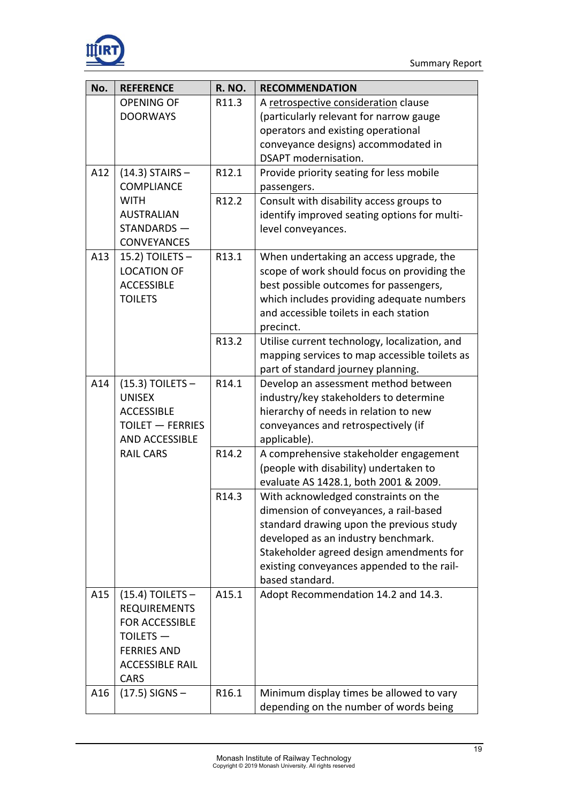

| No. | <b>REFERENCE</b>        | <b>R. NO.</b> | <b>RECOMMENDATION</b>                         |
|-----|-------------------------|---------------|-----------------------------------------------|
|     | <b>OPENING OF</b>       | R11.3         | A retrospective consideration clause          |
|     | <b>DOORWAYS</b>         |               | (particularly relevant for narrow gauge       |
|     |                         |               | operators and existing operational            |
|     |                         |               | conveyance designs) accommodated in           |
|     |                         |               | DSAPT modernisation.                          |
| A12 | $(14.3)$ STAIRS -       | R12.1         | Provide priority seating for less mobile      |
|     | <b>COMPLIANCE</b>       |               | passengers.                                   |
|     | <b>WITH</b>             | R12.2         | Consult with disability access groups to      |
|     | <b>AUSTRALIAN</b>       |               | identify improved seating options for multi-  |
|     | STANDARDS-              |               | level conveyances.                            |
|     | <b>CONVEYANCES</b>      |               |                                               |
| A13 | 15.2) TOILETS -         | R13.1         | When undertaking an access upgrade, the       |
|     | <b>LOCATION OF</b>      |               | scope of work should focus on providing the   |
|     | <b>ACCESSIBLE</b>       |               | best possible outcomes for passengers,        |
|     | <b>TOILETS</b>          |               | which includes providing adequate numbers     |
|     |                         |               | and accessible toilets in each station        |
|     |                         |               | precinct.                                     |
|     |                         | R13.2         | Utilise current technology, localization, and |
|     |                         |               | mapping services to map accessible toilets as |
|     |                         |               | part of standard journey planning.            |
| A14 | $(15.3)$ TOILETS -      | R14.1         | Develop an assessment method between          |
|     | <b>UNISEX</b>           |               | industry/key stakeholders to determine        |
|     | <b>ACCESSIBLE</b>       |               | hierarchy of needs in relation to new         |
|     | <b>TOILET - FERRIES</b> |               | conveyances and retrospectively (if           |
|     | AND ACCESSIBLE          |               | applicable).                                  |
|     | <b>RAIL CARS</b>        | R14.2         | A comprehensive stakeholder engagement        |
|     |                         |               | (people with disability) undertaken to        |
|     |                         |               | evaluate AS 1428.1, both 2001 & 2009.         |
|     |                         | R14.3         | With acknowledged constraints on the          |
|     |                         |               | dimension of conveyances, a rail-based        |
|     |                         |               | standard drawing upon the previous study      |
|     |                         |               | developed as an industry benchmark.           |
|     |                         |               | Stakeholder agreed design amendments for      |
|     |                         |               | existing conveyances appended to the rail-    |
|     |                         |               | based standard.                               |
| A15 | $(15.4)$ TOILETS -      | A15.1         | Adopt Recommendation 14.2 and 14.3.           |
|     | <b>REQUIREMENTS</b>     |               |                                               |
|     | FOR ACCESSIBLE          |               |                                               |
|     | TOILETS -               |               |                                               |
|     | <b>FERRIES AND</b>      |               |                                               |
|     | <b>ACCESSIBLE RAIL</b>  |               |                                               |
|     | <b>CARS</b>             |               |                                               |
| A16 | $(17.5)$ SIGNS -        | R16.1         | Minimum display times be allowed to vary      |
|     |                         |               | depending on the number of words being        |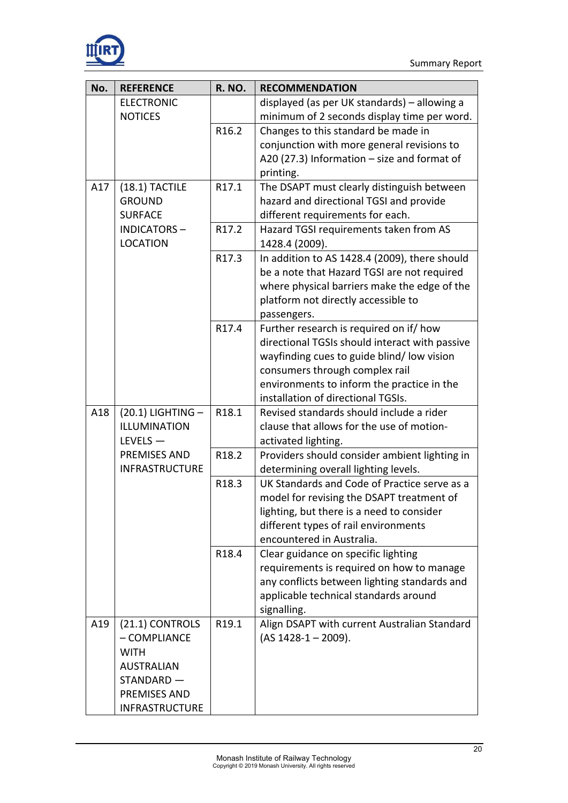

| No. |                       | <b>R. NO.</b>     | <b>RECOMMENDATION</b>                          |
|-----|-----------------------|-------------------|------------------------------------------------|
|     | <b>REFERENCE</b>      |                   |                                                |
|     | <b>ELECTRONIC</b>     |                   | displayed (as per UK standards) - allowing a   |
|     | <b>NOTICES</b>        |                   | minimum of 2 seconds display time per word.    |
|     |                       | R16.2             | Changes to this standard be made in            |
|     |                       |                   | conjunction with more general revisions to     |
|     |                       |                   | A20 (27.3) Information $-$ size and format of  |
|     |                       |                   | printing.                                      |
| A17 | $(18.1)$ TACTILE      | R17.1             | The DSAPT must clearly distinguish between     |
|     | <b>GROUND</b>         |                   | hazard and directional TGSI and provide        |
|     | <b>SURFACE</b>        |                   | different requirements for each.               |
|     | INDICATORS-           | R17.2             | Hazard TGSI requirements taken from AS         |
|     | <b>LOCATION</b>       |                   | 1428.4 (2009).                                 |
|     |                       | R17.3             | In addition to AS 1428.4 (2009), there should  |
|     |                       |                   | be a note that Hazard TGSI are not required    |
|     |                       |                   | where physical barriers make the edge of the   |
|     |                       |                   | platform not directly accessible to            |
|     |                       |                   | passengers.                                    |
|     |                       | R17.4             | Further research is required on if/ how        |
|     |                       |                   | directional TGSIs should interact with passive |
|     |                       |                   | wayfinding cues to guide blind/low vision      |
|     |                       |                   | consumers through complex rail                 |
|     |                       |                   | environments to inform the practice in the     |
|     |                       |                   | installation of directional TGSIs.             |
| A18 | (20.1) LIGHTING -     | R18.1             | Revised standards should include a rider       |
|     | ILLUMINATION          |                   | clause that allows for the use of motion-      |
|     | $LEVELS$ -            |                   | activated lighting.                            |
|     | PREMISES AND          | R18.2             | Providers should consider ambient lighting in  |
|     | <b>INFRASTRUCTURE</b> |                   | determining overall lighting levels.           |
|     |                       | R18.3             | UK Standards and Code of Practice serve as a   |
|     |                       |                   | model for revising the DSAPT treatment of      |
|     |                       |                   | lighting, but there is a need to consider      |
|     |                       |                   | different types of rail environments           |
|     |                       |                   | encountered in Australia.                      |
|     |                       | R <sub>18.4</sub> | Clear guidance on specific lighting            |
|     |                       |                   | requirements is required on how to manage      |
|     |                       |                   | any conflicts between lighting standards and   |
|     |                       |                   | applicable technical standards around          |
|     |                       |                   | signalling.                                    |
| A19 | (21.1) CONTROLS       | R19.1             | Align DSAPT with current Australian Standard   |
|     | - COMPLIANCE          |                   | $(AS 1428-1 - 2009).$                          |
|     | <b>WITH</b>           |                   |                                                |
|     | <b>AUSTRALIAN</b>     |                   |                                                |
|     | STANDARD-             |                   |                                                |
|     | PREMISES AND          |                   |                                                |
|     | <b>INFRASTRUCTURE</b> |                   |                                                |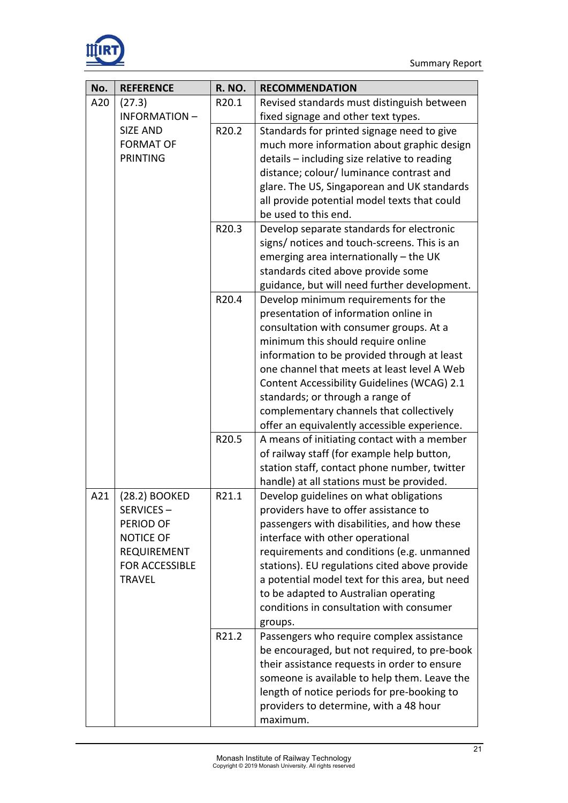

| No. | <b>REFERENCE</b>      | <b>R. NO.</b> | <b>RECOMMENDATION</b>                          |
|-----|-----------------------|---------------|------------------------------------------------|
| A20 | (27.3)                | R20.1         | Revised standards must distinguish between     |
|     | INFORMATION-          |               | fixed signage and other text types.            |
|     | <b>SIZE AND</b>       | R20.2         | Standards for printed signage need to give     |
|     | <b>FORMAT OF</b>      |               | much more information about graphic design     |
|     | <b>PRINTING</b>       |               | details - including size relative to reading   |
|     |                       |               | distance; colour/ luminance contrast and       |
|     |                       |               | glare. The US, Singaporean and UK standards    |
|     |                       |               | all provide potential model texts that could   |
|     |                       |               | be used to this end.                           |
|     |                       | R20.3         | Develop separate standards for electronic      |
|     |                       |               | signs/ notices and touch-screens. This is an   |
|     |                       |               | emerging area internationally - the UK         |
|     |                       |               | standards cited above provide some             |
|     |                       |               | guidance, but will need further development.   |
|     |                       | R20.4         | Develop minimum requirements for the           |
|     |                       |               | presentation of information online in          |
|     |                       |               | consultation with consumer groups. At a        |
|     |                       |               | minimum this should require online             |
|     |                       |               | information to be provided through at least    |
|     |                       |               | one channel that meets at least level A Web    |
|     |                       |               | Content Accessibility Guidelines (WCAG) 2.1    |
|     |                       |               | standards; or through a range of               |
|     |                       |               | complementary channels that collectively       |
|     |                       |               | offer an equivalently accessible experience.   |
|     |                       | R20.5         | A means of initiating contact with a member    |
|     |                       |               | of railway staff (for example help button,     |
|     |                       |               | station staff, contact phone number, twitter   |
|     |                       |               | handle) at all stations must be provided.      |
| A21 | (28.2) BOOKED         | R21.1         | Develop guidelines on what obligations         |
|     | SERVICES-             |               | providers have to offer assistance to          |
|     | PERIOD OF             |               | passengers with disabilities, and how these    |
|     | <b>NOTICE OF</b>      |               | interface with other operational               |
|     | <b>REQUIREMENT</b>    |               | requirements and conditions (e.g. unmanned     |
|     | <b>FOR ACCESSIBLE</b> |               | stations). EU regulations cited above provide  |
|     | <b>TRAVEL</b>         |               | a potential model text for this area, but need |
|     |                       |               | to be adapted to Australian operating          |
|     |                       |               | conditions in consultation with consumer       |
|     |                       |               | groups.                                        |
|     |                       | R21.2         | Passengers who require complex assistance      |
|     |                       |               | be encouraged, but not required, to pre-book   |
|     |                       |               | their assistance requests in order to ensure   |
|     |                       |               | someone is available to help them. Leave the   |
|     |                       |               | length of notice periods for pre-booking to    |
|     |                       |               | providers to determine, with a 48 hour         |
|     |                       |               | maximum.                                       |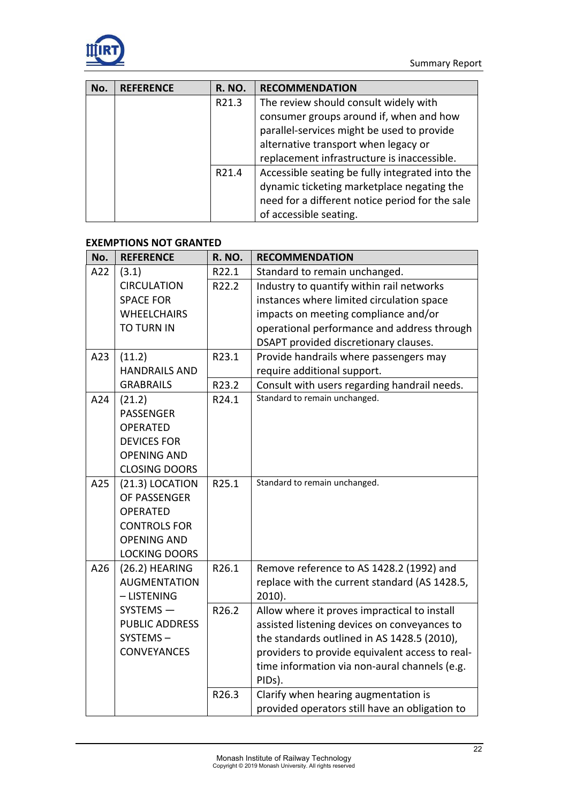

| No. | <b>REFERENCE</b> | <b>R. NO.</b> | <b>RECOMMENDATION</b>                           |
|-----|------------------|---------------|-------------------------------------------------|
|     |                  | R21.3         | The review should consult widely with           |
|     |                  |               | consumer groups around if, when and how         |
|     |                  |               | parallel-services might be used to provide      |
|     |                  |               | alternative transport when legacy or            |
|     |                  |               | replacement infrastructure is inaccessible.     |
|     |                  | R21.4         | Accessible seating be fully integrated into the |
|     |                  |               | dynamic ticketing marketplace negating the      |
|     |                  |               | need for a different notice period for the sale |
|     |                  |               | of accessible seating.                          |

#### **EXEMPTIONS NOT GRANTED**

| No. | <b>REFERENCE</b>      | R. NO. | <b>RECOMMENDATION</b>                           |
|-----|-----------------------|--------|-------------------------------------------------|
| A22 | (3.1)                 | R22.1  | Standard to remain unchanged.                   |
|     | <b>CIRCULATION</b>    | R22.2  | Industry to quantify within rail networks       |
|     | <b>SPACE FOR</b>      |        | instances where limited circulation space       |
|     | <b>WHEELCHAIRS</b>    |        | impacts on meeting compliance and/or            |
|     | <b>TO TURN IN</b>     |        | operational performance and address through     |
|     |                       |        | DSAPT provided discretionary clauses.           |
| A23 | (11.2)                | R23.1  | Provide handrails where passengers may          |
|     | <b>HANDRAILS AND</b>  |        | require additional support.                     |
|     | <b>GRABRAILS</b>      | R23.2  | Consult with users regarding handrail needs.    |
| A24 | (21.2)                | R24.1  | Standard to remain unchanged.                   |
|     | <b>PASSENGER</b>      |        |                                                 |
|     | <b>OPERATED</b>       |        |                                                 |
|     | <b>DEVICES FOR</b>    |        |                                                 |
|     | <b>OPENING AND</b>    |        |                                                 |
|     | <b>CLOSING DOORS</b>  |        |                                                 |
| A25 | (21.3) LOCATION       | R25.1  | Standard to remain unchanged.                   |
|     | OF PASSENGER          |        |                                                 |
|     | <b>OPERATED</b>       |        |                                                 |
|     | <b>CONTROLS FOR</b>   |        |                                                 |
|     | <b>OPENING AND</b>    |        |                                                 |
|     | <b>LOCKING DOORS</b>  |        |                                                 |
| A26 | (26.2) HEARING        | R26.1  | Remove reference to AS 1428.2 (1992) and        |
|     | <b>AUGMENTATION</b>   |        | replace with the current standard (AS 1428.5,   |
|     | - LISTENING           |        | $2010$ ).                                       |
|     | SYSTEMS-              | R26.2  | Allow where it proves impractical to install    |
|     | <b>PUBLIC ADDRESS</b> |        | assisted listening devices on conveyances to    |
|     | SYSTEMS-              |        | the standards outlined in AS 1428.5 (2010),     |
|     | <b>CONVEYANCES</b>    |        | providers to provide equivalent access to real- |
|     |                       |        | time information via non-aural channels (e.g.   |
|     |                       |        | PIDs).                                          |
|     |                       | R26.3  | Clarify when hearing augmentation is            |
|     |                       |        | provided operators still have an obligation to  |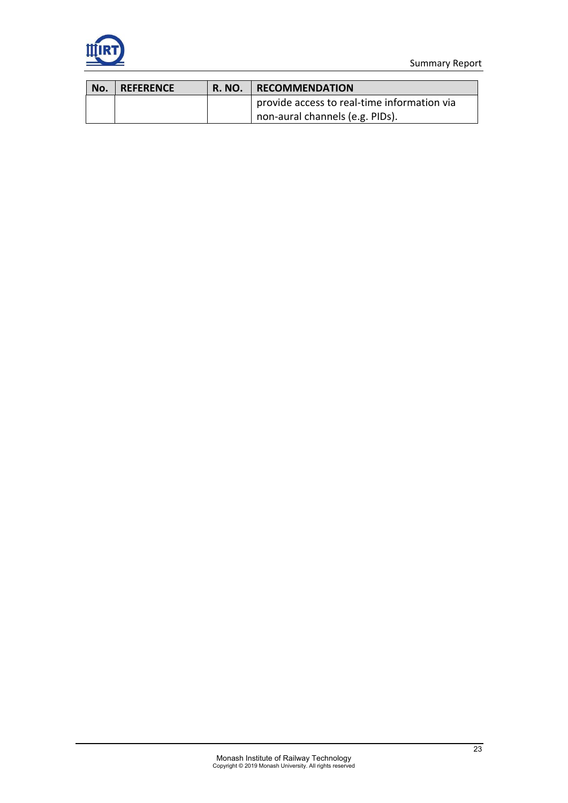



| $'$ No. | <b>REFERENCE</b> | <b>R. NO.</b> | <b>RECOMMENDATION</b>                       |
|---------|------------------|---------------|---------------------------------------------|
|         |                  |               | provide access to real-time information via |
|         |                  |               | non-aural channels (e.g. PIDs).             |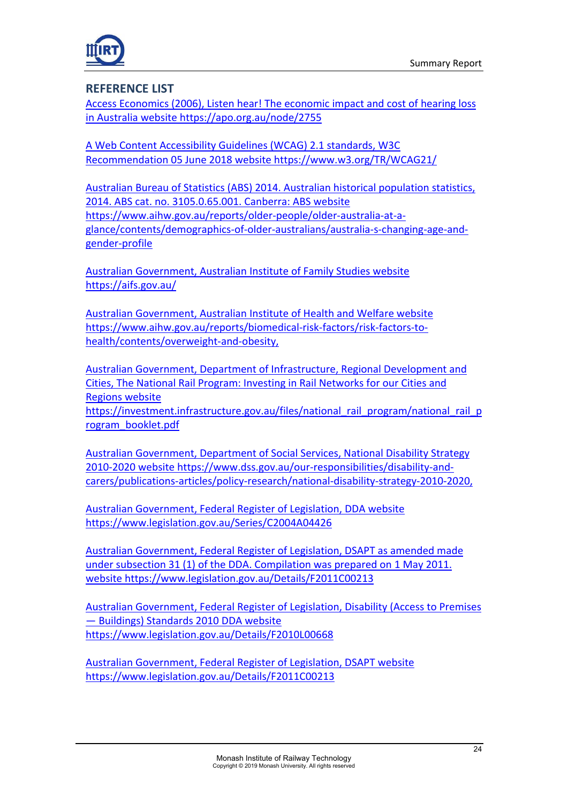

## **REFERENCE LIST**

Access Economics (2006), Listen hear! The economic impact and cost of hearing loss in Australia website https://apo.org.au/node/2755

A Web Content Accessibility Guidelines (WCAG) 2.1 standards, W3C Recommendation 05 June 2018 website https://www.w3.org/TR/WCAG21/

Australian Bureau of Statistics (ABS) 2014. Australian historical population statistics, 2014. ABS cat. no. 3105.0.65.001. Canberra: ABS website https://www.aihw.gov.au/reports/older‐people/older‐australia‐at‐a‐ glance/contents/demographics‐of‐older‐australians/australia‐s‐changing‐age‐and‐ gender‐profile

Australian Government, Australian Institute of Family Studies website https://aifs.gov.au/

Australian Government, Australian Institute of Health and Welfare website https://www.aihw.gov.au/reports/biomedical-risk-factors/risk-factors-tohealth/contents/overweight‐and‐obesity,

Australian Government, Department of Infrastructure, Regional Development and Cities, The National Rail Program: Investing in Rail Networks for our Cities and Regions website

https://investment.infrastructure.gov.au/files/national\_rail\_program/national\_rail\_p rogram\_booklet.pdf

Australian Government, Department of Social Services, National Disability Strategy 2010‐2020 website https://www.dss.gov.au/our‐responsibilities/disability‐and‐ carers/publications‐articles/policy‐research/national‐disability‐strategy‐2010‐2020,

Australian Government, Federal Register of Legislation, DDA website https://www.legislation.gov.au/Series/C2004A04426

Australian Government, Federal Register of Legislation, DSAPT as amended made under subsection 31 (1) of the DDA. Compilation was prepared on 1 May 2011. website https://www.legislation.gov.au/Details/F2011C00213

Australian Government, Federal Register of Legislation, Disability (Access to Premises — Buildings) Standards 2010 DDA website https://www.legislation.gov.au/Details/F2010L00668

Australian Government, Federal Register of Legislation, DSAPT website https://www.legislation.gov.au/Details/F2011C00213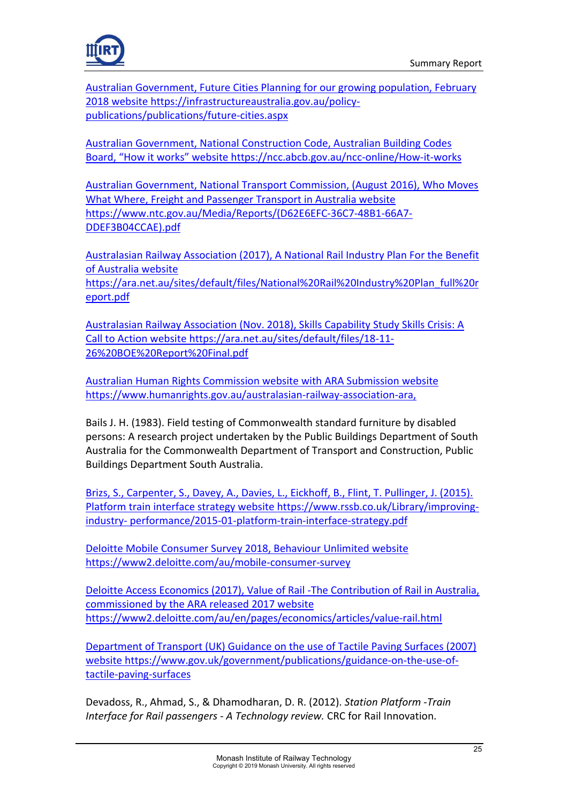



Australian Government, Future Cities Planning for our growing population, February 2018 website https://infrastructureaustralia.gov.au/policy‐ publications/publications/future‐cities.aspx

Australian Government, National Construction Code, Australian Building Codes Board, "How it works" website https://ncc.abcb.gov.au/ncc‐online/How‐it‐works

Australian Government, National Transport Commission, (August 2016), Who Moves What Where, Freight and Passenger Transport in Australia website https://www.ntc.gov.au/Media/Reports/(D62E6EFC‐36C7‐48B1‐66A7‐ DDEF3B04CCAE).pdf

Australasian Railway Association (2017), A National Rail Industry Plan For the Benefit of Australia website

https://ara.net.au/sites/default/files/National%20Rail%20Industry%20Plan\_full%20r eport.pdf

Australasian Railway Association (Nov. 2018), Skills Capability Study Skills Crisis: A Call to Action website https://ara.net.au/sites/default/files/18‐11‐ 26%20BOE%20Report%20Final.pdf

Australian Human Rights Commission website with ARA Submission website https://www.humanrights.gov.au/australasian‐railway‐association‐ara,

Bails J. H. (1983). Field testing of Commonwealth standard furniture by disabled persons: A research project undertaken by the Public Buildings Department of South Australia for the Commonwealth Department of Transport and Construction, Public Buildings Department South Australia.

Brizs, S., Carpenter, S., Davey, A., Davies, L., Eickhoff, B., Flint, T. Pullinger, J. (2015). Platform train interface strategy website https://www.rssb.co.uk/Library/improving‐ industry‐ performance/2015‐01‐platform‐train‐interface‐strategy.pdf

Deloitte Mobile Consumer Survey 2018, Behaviour Unlimited website https://www2.deloitte.com/au/mobile‐consumer‐survey

Deloitte Access Economics (2017), Value of Rail ‐The Contribution of Rail in Australia, commissioned by the ARA released 2017 website https://www2.deloitte.com/au/en/pages/economics/articles/value‐rail.html

Department of Transport (UK) Guidance on the use of Tactile Paving Surfaces (2007) website https://www.gov.uk/government/publications/guidance-on-the-use-oftactile‐paving‐surfaces

Devadoss, R., Ahmad, S., & Dhamodharan, D. R. (2012). *Station Platform ‐Train Interface for Rail passengers - A Technology review.* CRC for Rail Innovation.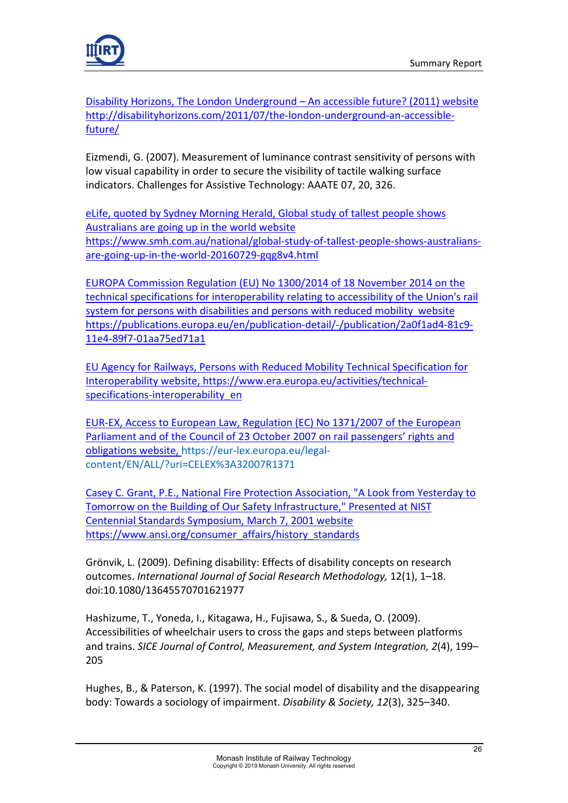

Disability Horizons, The London Underground – An accessible future? (2011) website http://disabilityhorizons.com/2011/07/the-london-underground-an-accessiblefuture/

Eizmendi, G. (2007). Measurement of luminance contrast sensitivity of persons with low visual capability in order to secure the visibility of tactile walking surface indicators. Challenges for Assistive Technology: AAATE 07, 20, 326.

eLife, quoted by Sydney Morning Herald, Global study of tallest people shows Australians are going up in the world website https://www.smh.com.au/national/global‐study‐of‐tallest‐people‐shows‐australians‐ are‐going‐up‐in‐the‐world‐20160729‐gqg8v4.html

EUROPA Commission Regulation (EU) No 1300/2014 of 18 November 2014 on the technical specifications for interoperability relating to accessibility of the Union's rail system for persons with disabilities and persons with reduced mobility website https://publications.europa.eu/en/publication-detail/-/publication/2a0f1ad4-81c9-11e4‐89f7‐01aa75ed71a1

EU Agency for Railways, Persons with Reduced Mobility Technical Specification for Interoperability website, https://www.era.europa.eu/activities/technical‐ specifications-interoperability\_en

EUR‐EX, Access to European Law, Regulation (EC) No 1371/2007 of the European Parliament and of the Council of 23 October 2007 on rail passengers' rights and obligations website, https://eur‐lex.europa.eu/legal‐ content/EN/ALL/?uri=CELEX%3A32007R1371

Casey C. Grant, P.E., National Fire Protection Association, "A Look from Yesterday to Tomorrow on the Building of Our Safety Infrastructure," Presented at NIST Centennial Standards Symposium, March 7, 2001 website https://www.ansi.org/consumer\_affairs/history\_standards

Grönvik, L. (2009). Defining disability: Effects of disability concepts on research outcomes. *International Journal of Social Research Methodology,* 12(1), 1–18. doi:10.1080/13645570701621977

Hashizume, T., Yoneda, I., Kitagawa, H., Fujisawa, S., & Sueda, O. (2009). Accessibilities of wheelchair users to cross the gaps and steps between platforms and trains. *SICE Journal of Control, Measurement, and System Integration, 2*(4), 199– 205

Hughes, B., & Paterson, K. (1997). The social model of disability and the disappearing body: Towards a sociology of impairment. *Disability & Society, 12*(3), 325–340.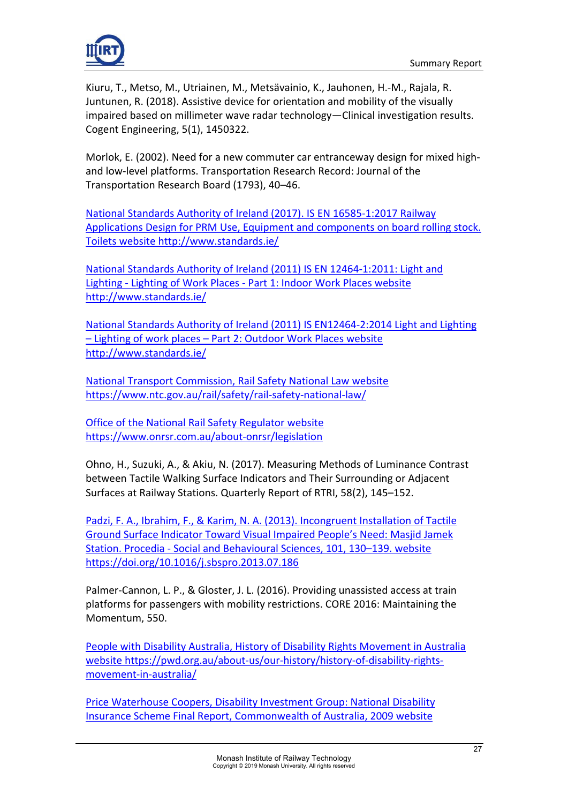

Kiuru, T., Metso, M., Utriainen, M., Metsävainio, K., Jauhonen, H.‐M., Rajala, R. Juntunen, R. (2018). Assistive device for orientation and mobility of the visually impaired based on millimeter wave radar technology—Clinical investigation results. Cogent Engineering, 5(1), 1450322.

Morlok, E. (2002). Need for a new commuter car entranceway design for mixed high‐ and low‐level platforms. Transportation Research Record: Journal of the Transportation Research Board (1793), 40–46.

National Standards Authority of Ireland (2017). IS EN 16585‐1:2017 Railway Applications Design for PRM Use, Equipment and components on board rolling stock. Toilets website http://www.standards.ie/

National Standards Authority of Ireland (2011) IS EN 12464‐1:2011: Light and Lighting ‐ Lighting of Work Places ‐ Part 1: Indoor Work Places website http://www.standards.ie/

National Standards Authority of Ireland (2011) IS EN12464‐2:2014 Light and Lighting – Lighting of work places – Part 2: Outdoor Work Places website http://www.standards.ie/

National Transport Commission, Rail Safety National Law website https://www.ntc.gov.au/rail/safety/rail‐safety‐national‐law/

Office of the National Rail Safety Regulator website https://www.onrsr.com.au/about‐onrsr/legislation

Ohno, H., Suzuki, A., & Akiu, N. (2017). Measuring Methods of Luminance Contrast between Tactile Walking Surface Indicators and Their Surrounding or Adjacent Surfaces at Railway Stations. Quarterly Report of RTRI, 58(2), 145–152.

Padzi, F. A., Ibrahim, F., & Karim, N. A. (2013). Incongruent Installation of Tactile Ground Surface Indicator Toward Visual Impaired People's Need: Masjid Jamek Station. Procedia ‐ Social and Behavioural Sciences, 101, 130–139. website https://doi.org/10.1016/j.sbspro.2013.07.186

Palmer‐Cannon, L. P., & Gloster, J. L. (2016). Providing unassisted access at train platforms for passengers with mobility restrictions. CORE 2016: Maintaining the Momentum, 550.

People with Disability Australia, History of Disability Rights Movement in Australia website https://pwd.org.au/about-us/our-history/history-of-disability-rightsmovement‐in‐australia/

Price Waterhouse Coopers, Disability Investment Group: National Disability Insurance Scheme Final Report, Commonwealth of Australia, 2009 website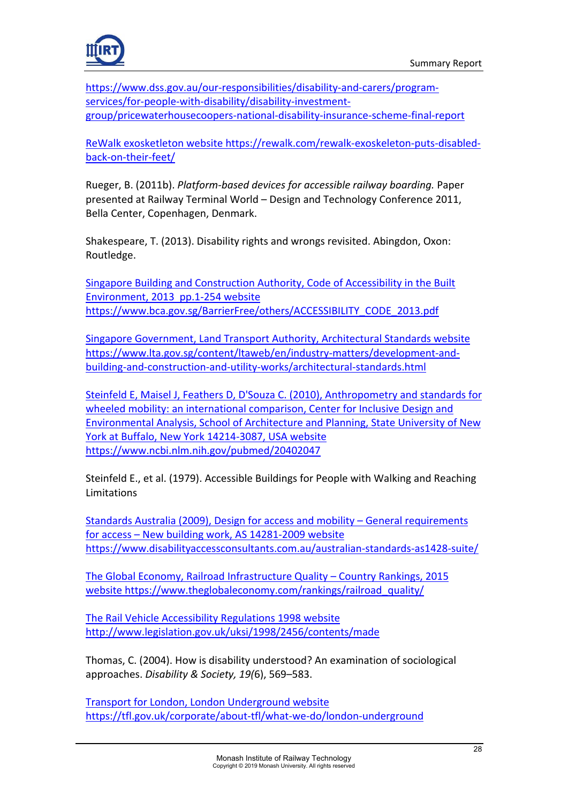

https://www.dss.gov.au/our-responsibilities/disability-and-carers/programservices/for‐people‐with‐disability/disability‐investment‐ group/pricewaterhousecoopers‐national‐disability‐insurance‐scheme‐final‐report

ReWalk exosketleton website https://rewalk.com/rewalk‐exoskeleton‐puts‐disabled‐ back‐on‐their‐feet/

Rueger, B. (2011b). *Platform‐based devices for accessible railway boarding.* Paper presented at Railway Terminal World – Design and Technology Conference 2011, Bella Center, Copenhagen, Denmark.

Shakespeare, T. (2013). Disability rights and wrongs revisited. Abingdon, Oxon: Routledge.

Singapore Building and Construction Authority, Code of Accessibility in the Built Environment, 2013 pp.1-254 website https://www.bca.gov.sg/BarrierFree/others/ACCESSIBILITY\_CODE\_2013.pdf

Singapore Government, Land Transport Authority, Architectural Standards website https://www.lta.gov.sg/content/ltaweb/en/industry-matters/development-andbuilding‐and‐construction‐and‐utility‐works/architectural‐standards.html

Steinfeld E, Maisel J, Feathers D, D'Souza C. (2010), Anthropometry and standards for wheeled mobility: an international comparison, Center for Inclusive Design and Environmental Analysis, School of Architecture and Planning, State University of New York at Buffalo, New York 14214‐3087, USA website https://www.ncbi.nlm.nih.gov/pubmed/20402047

Steinfeld E., et al. (1979). Accessible Buildings for People with Walking and Reaching Limitations

Standards Australia (2009), Design for access and mobility – General requirements for access – New building work, AS 14281‐2009 website https://www.disabilityaccessconsultants.com.au/australian‐standards‐as1428‐suite/

The Global Economy, Railroad Infrastructure Quality – Country Rankings, 2015 website https://www.theglobaleconomy.com/rankings/railroad\_quality/

The Rail Vehicle Accessibility Regulations 1998 website http://www.legislation.gov.uk/uksi/1998/2456/contents/made

Thomas, C. (2004). How is disability understood? An examination of sociological approaches. *Disability & Society, 19(*6), 569–583.

Transport for London, London Underground website https://tfl.gov.uk/corporate/about‐tfl/what‐we‐do/london‐underground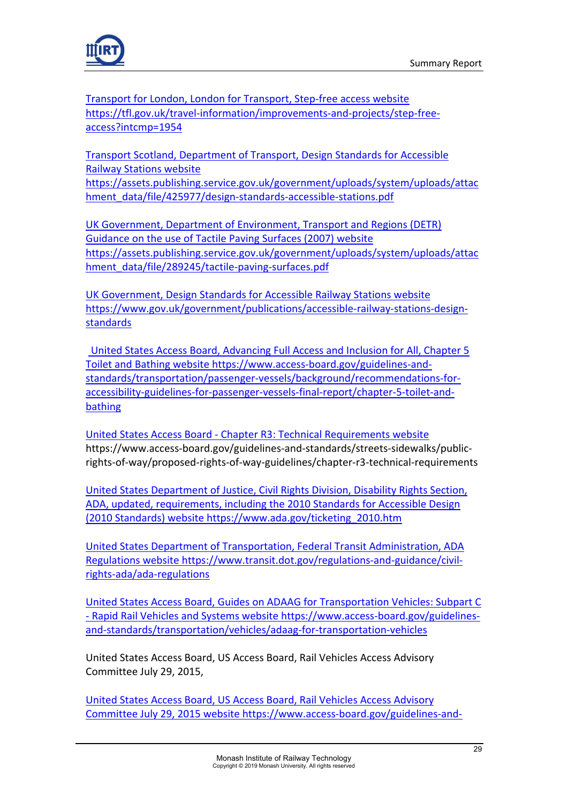

Transport for London, London for Transport, Step‐free access website https://tfl.gov.uk/travel-information/improvements-and-projects/step-freeaccess?intcmp=1954

Transport Scotland, Department of Transport, Design Standards for Accessible Railway Stations website https://assets.publishing.service.gov.uk/government/uploads/system/uploads/attac hment\_data/file/425977/design-standards-accessible-stations.pdf

UK Government, Department of Environment, Transport and Regions (DETR) Guidance on the use of Tactile Paving Surfaces (2007) website https://assets.publishing.service.gov.uk/government/uploads/system/uploads/attac hment\_data/file/289245/tactile-paving-surfaces.pdf

UK Government, Design Standards for Accessible Railway Stations website https://www.gov.uk/government/publications/accessible-railway-stations-designstandards

 United States Access Board, Advancing Full Access and Inclusion for All, Chapter 5 Toilet and Bathing website https://www.access‐board.gov/guidelines‐and‐ standards/transportation/passenger‐vessels/background/recommendations‐for‐ accessibility‐guidelines‐for‐passenger‐vessels‐final‐report/chapter‐5‐toilet‐and‐ bathing

United States Access Board ‐ Chapter R3: Technical Requirements website https://www.access-board.gov/guidelines-and-standards/streets-sidewalks/publicrights‐of‐way/proposed‐rights‐of‐way‐guidelines/chapter‐r3‐technical‐requirements

United States Department of Justice, Civil Rights Division, Disability Rights Section, ADA, updated, requirements, including the 2010 Standards for Accessible Design (2010 Standards) website https://www.ada.gov/ticketing\_2010.htm

United States Department of Transportation, Federal Transit Administration, ADA Regulations website https://www.transit.dot.gov/regulations‐and‐guidance/civil‐ rights‐ada/ada‐regulations

United States Access Board, Guides on ADAAG for Transportation Vehicles: Subpart C ‐ Rapid Rail Vehicles and Systems website https://www.access‐board.gov/guidelines‐ and‐standards/transportation/vehicles/adaag‐for‐transportation‐vehicles

United States Access Board, US Access Board, Rail Vehicles Access Advisory Committee July 29, 2015,

United States Access Board, US Access Board, Rail Vehicles Access Advisory Committee July 29, 2015 website https://www.access‐board.gov/guidelines‐and‐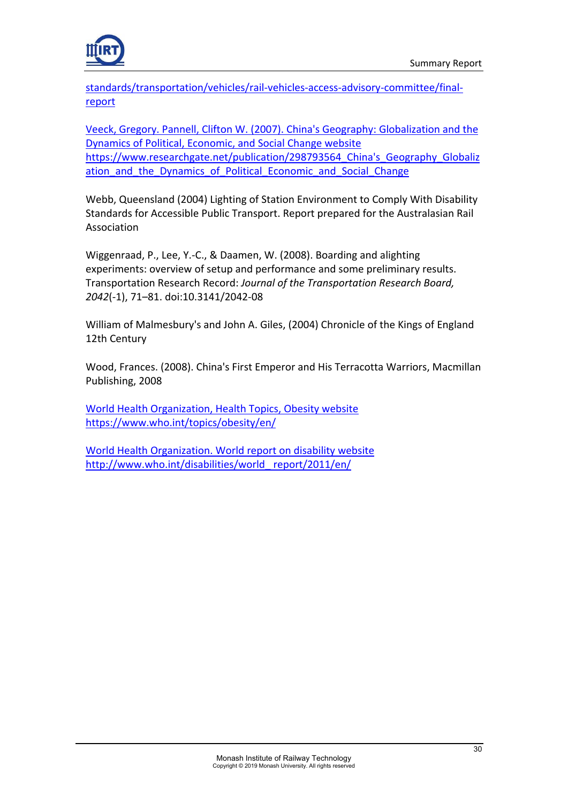

standards/transportation/vehicles/rail‐vehicles‐access‐advisory‐committee/final‐ report

Veeck, Gregory. Pannell, Clifton W. (2007). China's Geography: Globalization and the Dynamics of Political, Economic, and Social Change website https://www.researchgate.net/publication/298793564 China's Geography Globaliz ation and the Dynamics of Political Economic and Social Change

Webb, Queensland (2004) Lighting of Station Environment to Comply With Disability Standards for Accessible Public Transport. Report prepared for the Australasian Rail Association

Wiggenraad, P., Lee, Y.‐C., & Daamen, W. (2008). Boarding and alighting experiments: overview of setup and performance and some preliminary results. Transportation Research Record: *Journal of the Transportation Research Board, 2042*(‐1), 71–81. doi:10.3141/2042‐08

William of Malmesbury's and John A. Giles, (2004) Chronicle of the Kings of England 12th Century

Wood, Frances. (2008). China's First Emperor and His Terracotta Warriors, Macmillan Publishing, 2008

World Health Organization, Health Topics, Obesity website https://www.who.int/topics/obesity/en/

World Health Organization. World report on disability website http://www.who.int/disabilities/world\_ report/2011/en/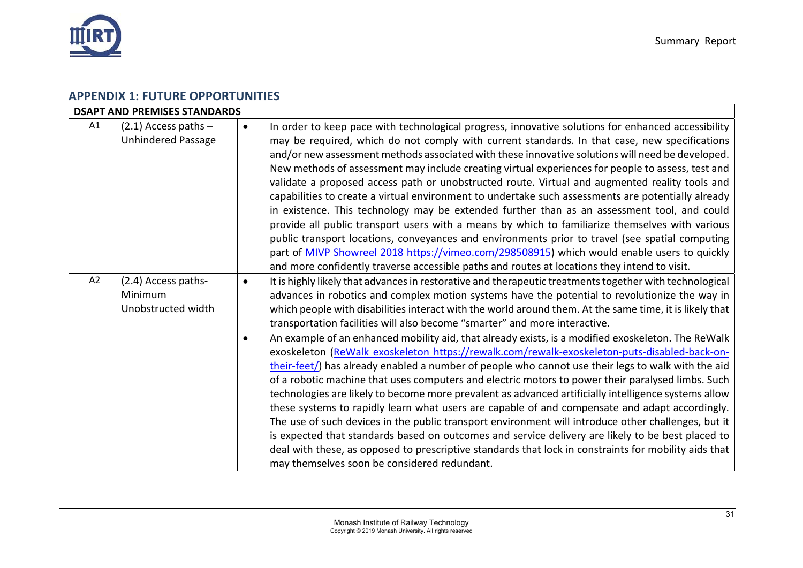

#### **APPENDIX 1: FUTURE OPPORTUNITIES**

|    | <b>DSAPT AND PREMISES STANDARDS</b>                  |                        |                                                                                                                                                                                                                                                                                                                                                                                                                                                                                                                                                                                                                                                                                                                                                                                                                                                                                                                                                                                                                                                                                                                                                                                                                                                                                                                                                                                                    |
|----|------------------------------------------------------|------------------------|----------------------------------------------------------------------------------------------------------------------------------------------------------------------------------------------------------------------------------------------------------------------------------------------------------------------------------------------------------------------------------------------------------------------------------------------------------------------------------------------------------------------------------------------------------------------------------------------------------------------------------------------------------------------------------------------------------------------------------------------------------------------------------------------------------------------------------------------------------------------------------------------------------------------------------------------------------------------------------------------------------------------------------------------------------------------------------------------------------------------------------------------------------------------------------------------------------------------------------------------------------------------------------------------------------------------------------------------------------------------------------------------------|
| A1 | $(2.1)$ Access paths -<br><b>Unhindered Passage</b>  | $\bullet$              | In order to keep pace with technological progress, innovative solutions for enhanced accessibility<br>may be required, which do not comply with current standards. In that case, new specifications<br>and/or new assessment methods associated with these innovative solutions will need be developed.<br>New methods of assessment may include creating virtual experiences for people to assess, test and<br>validate a proposed access path or unobstructed route. Virtual and augmented reality tools and<br>capabilities to create a virtual environment to undertake such assessments are potentially already<br>in existence. This technology may be extended further than as an assessment tool, and could<br>provide all public transport users with a means by which to familiarize themselves with various<br>public transport locations, conveyances and environments prior to travel (see spatial computing<br>part of MIVP Showreel 2018 https://vimeo.com/298508915) which would enable users to quickly<br>and more confidently traverse accessible paths and routes at locations they intend to visit.                                                                                                                                                                                                                                                                           |
| A2 | (2.4) Access paths-<br>Minimum<br>Unobstructed width | $\bullet$<br>$\bullet$ | It is highly likely that advances in restorative and therapeutic treatments together with technological<br>advances in robotics and complex motion systems have the potential to revolutionize the way in<br>which people with disabilities interact with the world around them. At the same time, it is likely that<br>transportation facilities will also become "smarter" and more interactive.<br>An example of an enhanced mobility aid, that already exists, is a modified exoskeleton. The ReWalk<br>exoskeleton (ReWalk exoskeleton https://rewalk.com/rewalk-exoskeleton-puts-disabled-back-on-<br>their-feet/) has already enabled a number of people who cannot use their legs to walk with the aid<br>of a robotic machine that uses computers and electric motors to power their paralysed limbs. Such<br>technologies are likely to become more prevalent as advanced artificially intelligence systems allow<br>these systems to rapidly learn what users are capable of and compensate and adapt accordingly.<br>The use of such devices in the public transport environment will introduce other challenges, but it<br>is expected that standards based on outcomes and service delivery are likely to be best placed to<br>deal with these, as opposed to prescriptive standards that lock in constraints for mobility aids that<br>may themselves soon be considered redundant. |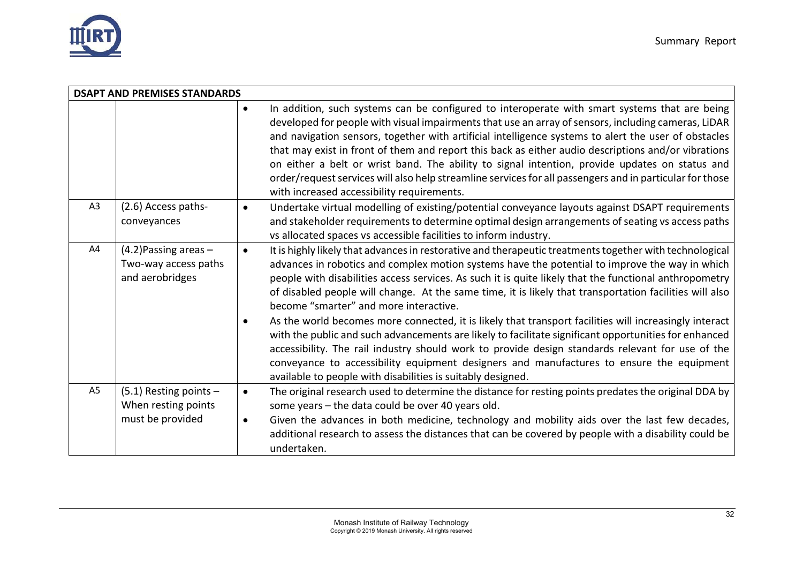

|                | <b>DSAPT AND PREMISES STANDARDS</b>                                |           |                                                                                                                                                                                                                                                                                                                                                                                                                                                                                                                                                                                                                                                                                 |
|----------------|--------------------------------------------------------------------|-----------|---------------------------------------------------------------------------------------------------------------------------------------------------------------------------------------------------------------------------------------------------------------------------------------------------------------------------------------------------------------------------------------------------------------------------------------------------------------------------------------------------------------------------------------------------------------------------------------------------------------------------------------------------------------------------------|
|                |                                                                    | $\bullet$ | In addition, such systems can be configured to interoperate with smart systems that are being<br>developed for people with visual impairments that use an array of sensors, including cameras, LiDAR<br>and navigation sensors, together with artificial intelligence systems to alert the user of obstacles<br>that may exist in front of them and report this back as either audio descriptions and/or vibrations<br>on either a belt or wrist band. The ability to signal intention, provide updates on status and<br>order/request services will also help streamline services for all passengers and in particular for those<br>with increased accessibility requirements. |
| A3             | (2.6) Access paths-<br>conveyances                                 | $\bullet$ | Undertake virtual modelling of existing/potential conveyance layouts against DSAPT requirements<br>and stakeholder requirements to determine optimal design arrangements of seating vs access paths<br>vs allocated spaces vs accessible facilities to inform industry.                                                                                                                                                                                                                                                                                                                                                                                                         |
| A4             | $(4.2)$ Passing areas -<br>Two-way access paths<br>and aerobridges |           | It is highly likely that advances in restorative and therapeutic treatments together with technological<br>advances in robotics and complex motion systems have the potential to improve the way in which<br>people with disabilities access services. As such it is quite likely that the functional anthropometry<br>of disabled people will change. At the same time, it is likely that transportation facilities will also<br>become "smarter" and more interactive.                                                                                                                                                                                                        |
|                |                                                                    | $\bullet$ | As the world becomes more connected, it is likely that transport facilities will increasingly interact<br>with the public and such advancements are likely to facilitate significant opportunities for enhanced<br>accessibility. The rail industry should work to provide design standards relevant for use of the<br>conveyance to accessibility equipment designers and manufactures to ensure the equipment<br>available to people with disabilities is suitably designed.                                                                                                                                                                                                  |
| A <sub>5</sub> | (5.1) Resting points -<br>When resting points                      | $\bullet$ | The original research used to determine the distance for resting points predates the original DDA by<br>some years - the data could be over 40 years old.                                                                                                                                                                                                                                                                                                                                                                                                                                                                                                                       |
|                | must be provided                                                   | $\bullet$ | Given the advances in both medicine, technology and mobility aids over the last few decades,<br>additional research to assess the distances that can be covered by people with a disability could be<br>undertaken.                                                                                                                                                                                                                                                                                                                                                                                                                                                             |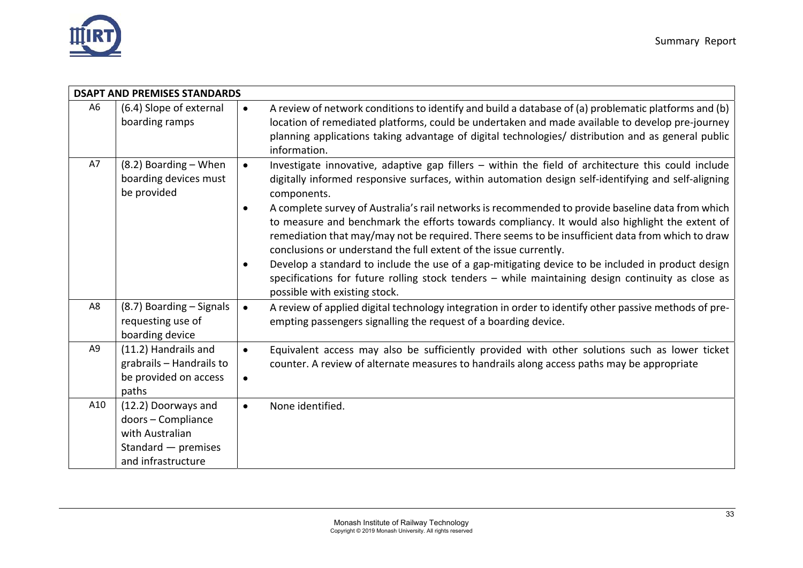

|                | <b>DSAPT AND PREMISES STANDARDS</b>                                                                       |                        |                                                                                                                                                                                                                                                                                                                                                                              |
|----------------|-----------------------------------------------------------------------------------------------------------|------------------------|------------------------------------------------------------------------------------------------------------------------------------------------------------------------------------------------------------------------------------------------------------------------------------------------------------------------------------------------------------------------------|
| A6             | (6.4) Slope of external<br>boarding ramps                                                                 | $\bullet$              | A review of network conditions to identify and build a database of (a) problematic platforms and (b)<br>location of remediated platforms, could be undertaken and made available to develop pre-journey<br>planning applications taking advantage of digital technologies/ distribution and as general public<br>information.                                                |
| A7             | (8.2) Boarding - When<br>boarding devices must<br>be provided                                             | $\bullet$              | Investigate innovative, adaptive gap fillers - within the field of architecture this could include<br>digitally informed responsive surfaces, within automation design self-identifying and self-aligning<br>components.                                                                                                                                                     |
|                |                                                                                                           | $\bullet$              | A complete survey of Australia's rail networks is recommended to provide baseline data from which<br>to measure and benchmark the efforts towards compliancy. It would also highlight the extent of<br>remediation that may/may not be required. There seems to be insufficient data from which to draw<br>conclusions or understand the full extent of the issue currently. |
|                |                                                                                                           | $\bullet$              | Develop a standard to include the use of a gap-mitigating device to be included in product design<br>specifications for future rolling stock tenders - while maintaining design continuity as close as<br>possible with existing stock.                                                                                                                                      |
| A <sub>8</sub> | (8.7) Boarding - Signals<br>requesting use of<br>boarding device                                          | $\bullet$              | A review of applied digital technology integration in order to identify other passive methods of pre-<br>empting passengers signalling the request of a boarding device.                                                                                                                                                                                                     |
| A <sub>9</sub> | (11.2) Handrails and<br>grabrails - Handrails to<br>be provided on access<br>paths                        | $\bullet$<br>$\bullet$ | Equivalent access may also be sufficiently provided with other solutions such as lower ticket<br>counter. A review of alternate measures to handrails along access paths may be appropriate                                                                                                                                                                                  |
| A10            | (12.2) Doorways and<br>doors - Compliance<br>with Australian<br>Standard - premises<br>and infrastructure | $\bullet$              | None identified.                                                                                                                                                                                                                                                                                                                                                             |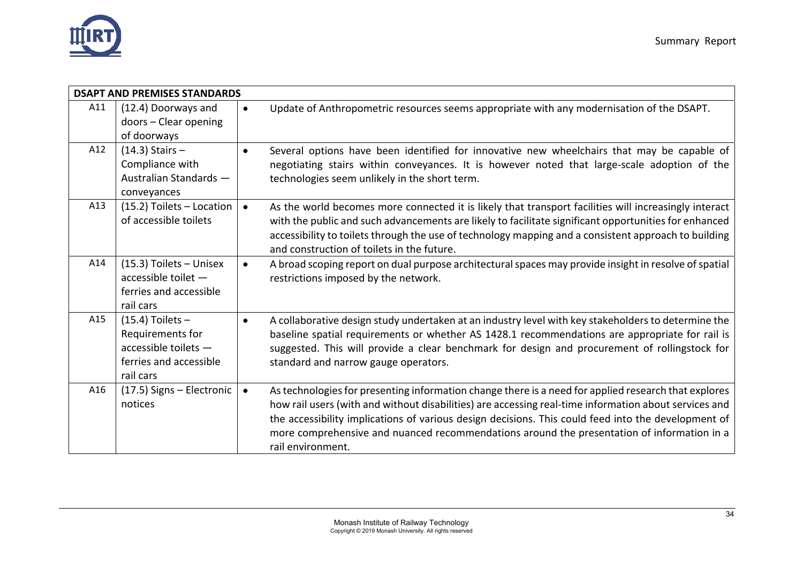

| <b>DSAPT AND PREMISES STANDARDS</b> |                                                                                                       |           |                                                                                                                                                                                                                                                                                                                                                                                                                                         |
|-------------------------------------|-------------------------------------------------------------------------------------------------------|-----------|-----------------------------------------------------------------------------------------------------------------------------------------------------------------------------------------------------------------------------------------------------------------------------------------------------------------------------------------------------------------------------------------------------------------------------------------|
| A11                                 | (12.4) Doorways and<br>doors - Clear opening<br>of doorways                                           | $\bullet$ | Update of Anthropometric resources seems appropriate with any modernisation of the DSAPT.                                                                                                                                                                                                                                                                                                                                               |
| A12                                 | $(14.3)$ Stairs -<br>Compliance with<br>Australian Standards -<br>conveyances                         | $\bullet$ | Several options have been identified for innovative new wheelchairs that may be capable of<br>negotiating stairs within conveyances. It is however noted that large-scale adoption of the<br>technologies seem unlikely in the short term.                                                                                                                                                                                              |
| A13                                 | (15.2) Toilets - Location<br>of accessible toilets                                                    | $\bullet$ | As the world becomes more connected it is likely that transport facilities will increasingly interact<br>with the public and such advancements are likely to facilitate significant opportunities for enhanced<br>accessibility to toilets through the use of technology mapping and a consistent approach to building<br>and construction of toilets in the future.                                                                    |
| A14                                 | (15.3) Toilets - Unisex<br>accessible toilet $-$<br>ferries and accessible<br>rail cars               | $\bullet$ | A broad scoping report on dual purpose architectural spaces may provide insight in resolve of spatial<br>restrictions imposed by the network.                                                                                                                                                                                                                                                                                           |
| A15                                 | $(15.4)$ Toilets -<br>Requirements for<br>accessible toilets -<br>ferries and accessible<br>rail cars | $\bullet$ | A collaborative design study undertaken at an industry level with key stakeholders to determine the<br>baseline spatial requirements or whether AS 1428.1 recommendations are appropriate for rail is<br>suggested. This will provide a clear benchmark for design and procurement of rollingstock for<br>standard and narrow gauge operators.                                                                                          |
| A16                                 | (17.5) Signs – Electronic<br>notices                                                                  | $\bullet$ | As technologies for presenting information change there is a need for applied research that explores<br>how rail users (with and without disabilities) are accessing real-time information about services and<br>the accessibility implications of various design decisions. This could feed into the development of<br>more comprehensive and nuanced recommendations around the presentation of information in a<br>rail environment. |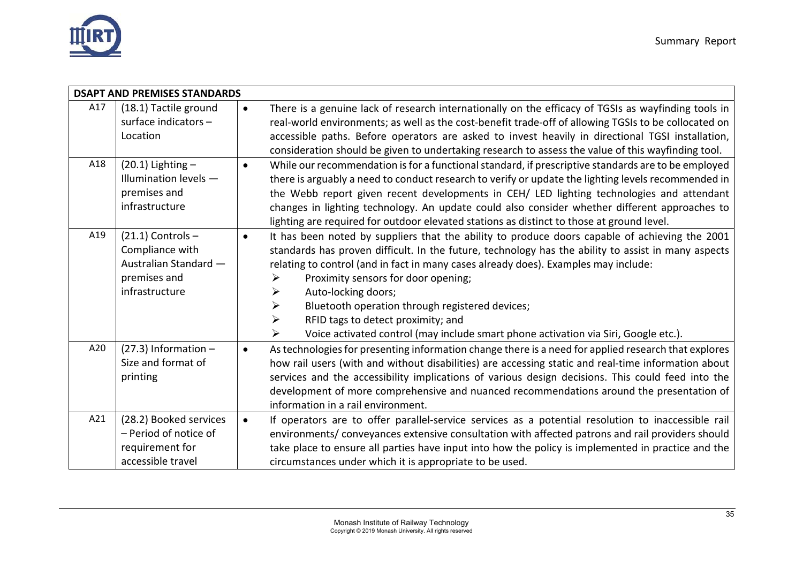

|     | <b>DSAPT AND PREMISES STANDARDS</b>                                                               |           |                                                                                                                                                                                                                                                                                                                                                                                                                                                                                                                                                           |
|-----|---------------------------------------------------------------------------------------------------|-----------|-----------------------------------------------------------------------------------------------------------------------------------------------------------------------------------------------------------------------------------------------------------------------------------------------------------------------------------------------------------------------------------------------------------------------------------------------------------------------------------------------------------------------------------------------------------|
| A17 | (18.1) Tactile ground<br>surface indicators -<br>Location                                         | $\bullet$ | There is a genuine lack of research internationally on the efficacy of TGSIs as wayfinding tools in<br>real-world environments; as well as the cost-benefit trade-off of allowing TGSIs to be collocated on<br>accessible paths. Before operators are asked to invest heavily in directional TGSI installation,<br>consideration should be given to undertaking research to assess the value of this wayfinding tool.                                                                                                                                     |
| A18 | $(20.1)$ Lighting -<br>Illumination levels -<br>premises and<br>infrastructure                    | $\bullet$ | While our recommendation is for a functional standard, if prescriptive standards are to be employed<br>there is arguably a need to conduct research to verify or update the lighting levels recommended in<br>the Webb report given recent developments in CEH/ LED lighting technologies and attendant<br>changes in lighting technology. An update could also consider whether different approaches to<br>lighting are required for outdoor elevated stations as distinct to those at ground level.                                                     |
| A19 | $(21.1)$ Controls -<br>Compliance with<br>Australian Standard -<br>premises and<br>infrastructure | $\bullet$ | It has been noted by suppliers that the ability to produce doors capable of achieving the 2001<br>standards has proven difficult. In the future, technology has the ability to assist in many aspects<br>relating to control (and in fact in many cases already does). Examples may include:<br>Proximity sensors for door opening;<br>➤<br>Auto-locking doors;<br>Bluetooth operation through registered devices;<br>RFID tags to detect proximity; and<br>➤<br>Voice activated control (may include smart phone activation via Siri, Google etc.).<br>➤ |
| A20 | $(27.3)$ Information -<br>Size and format of<br>printing                                          | $\bullet$ | As technologies for presenting information change there is a need for applied research that explores<br>how rail users (with and without disabilities) are accessing static and real-time information about<br>services and the accessibility implications of various design decisions. This could feed into the<br>development of more comprehensive and nuanced recommendations around the presentation of<br>information in a rail environment.                                                                                                        |
| A21 | (28.2) Booked services<br>- Period of notice of<br>requirement for<br>accessible travel           | $\bullet$ | If operators are to offer parallel-service services as a potential resolution to inaccessible rail<br>environments/ conveyances extensive consultation with affected patrons and rail providers should<br>take place to ensure all parties have input into how the policy is implemented in practice and the<br>circumstances under which it is appropriate to be used.                                                                                                                                                                                   |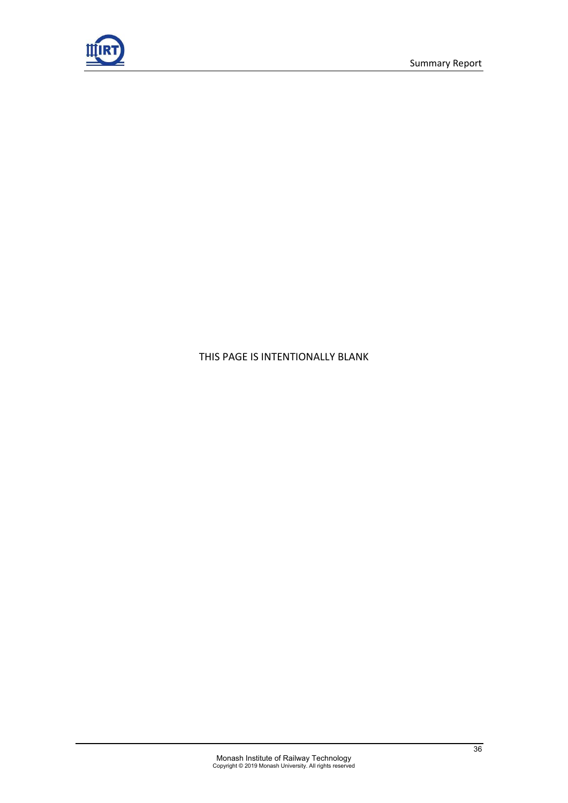

## THIS PAGE IS INTENTIONALLY BLANK